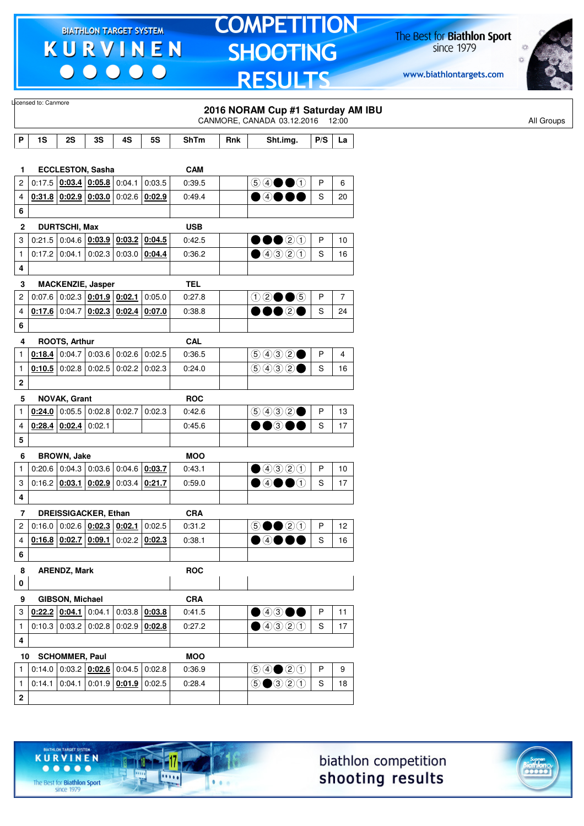$\begin{array}{c|c|c|c|c} \hline \bullet & \bullet & \bullet & \bullet & \bullet \end{array}$ 

# **TOMPETITION SHOOTING RESULTS**

The Best for **Biathlon Sport**<br>since 1979

www.biathlontargets.com



|                         | Licensed to: Canmore |                        |                                              |        |                                              |            |     | 2016 NORAM Cup #1 Saturday AM IBU<br>CANMORE, CANADA 03.12.2016 12:00 |               |                |  |
|-------------------------|----------------------|------------------------|----------------------------------------------|--------|----------------------------------------------|------------|-----|-----------------------------------------------------------------------|---------------|----------------|--|
| P                       | 1S                   | 2S                     | 3S                                           | 4S     | <b>5S</b>                                    | ShTm       | Rnk | Sht.img.                                                              | P/S           | La             |  |
|                         |                      |                        |                                              |        |                                              |            |     |                                                                       |               |                |  |
| 1.                      |                      |                        | <b>ECCLESTON, Sasha</b>                      |        |                                              | <b>CAM</b> |     |                                                                       |               |                |  |
| $\overline{c}$          |                      |                        | $0:17.5$ $0:03.4$ $0:05.8$                   | 0:04.1 | 0:03.5                                       | 0:39.5     |     | $\circledcircledast \bullet \bullet \bullet$                          | P             | 6              |  |
| 4                       |                      |                        | $0.31.8$ $0.02.9$ $0.03.0$ 0.02.6 0.02.9     |        |                                              | 0:49.4     |     | $\bullet$ 40 (                                                        | S             | 20             |  |
| 6                       |                      |                        |                                              |        |                                              |            |     |                                                                       |               |                |  |
| 2                       |                      | <b>DURTSCHI, Max</b>   |                                              |        |                                              | <b>USB</b> |     |                                                                       |               |                |  |
| 3                       |                      |                        | $0:21.5   0:04.6   0:03.9   0:03.2   0:04.5$ |        |                                              | 0:42.5     |     | 00020                                                                 | P             | 10             |  |
| $\mathbf{1}$            | $0:17.2$ 0:04.1      |                        | 0:02.3                                       |        | $0:03.0$ 0:04.4                              | 0:36.2     |     | ①③③③                                                                  | S             | 16             |  |
| 4                       |                      |                        |                                              |        |                                              |            |     |                                                                       |               |                |  |
| 3                       |                      |                        | <b>MACKENZIE, Jasper</b>                     |        |                                              | <b>TEL</b> |     |                                                                       |               |                |  |
| $\overline{\mathbf{c}}$ |                      |                        | $0.07.6$ 0.02.3 0.01.9 0.02.1                |        | 0:05.0                                       | 0:27.8     |     | $02 \bullet 6$                                                        | P             | $\overline{7}$ |  |
| 4                       |                      |                        | $0.17.6$ 0.04.7 $0.02.3$ 0.02.4 0.07.0       |        |                                              | 0:38.8     |     | •••••                                                                 | S             | 24             |  |
| 6                       |                      |                        |                                              |        |                                              |            |     |                                                                       |               |                |  |
| 4                       |                      | <b>ROOTS, Arthur</b>   |                                              |        |                                              | <b>CAL</b> |     |                                                                       |               |                |  |
| 1                       | $0.18.4$ 0.04.7      |                        | $0.03.6$ 0.02.6 0.02.5                       |        |                                              | 0:36.5     |     | (50032)                                                               | P             | 4              |  |
| 1                       |                      |                        | $0.10.5$ 0:02.8 0:02.5 0:02.2 0:02.3         |        |                                              | 0:24.0     |     | 9932                                                                  | S             | 16             |  |
| $\boldsymbol{2}$        |                      |                        |                                              |        |                                              |            |     |                                                                       |               |                |  |
| 5                       |                      | NOVAK, Grant           |                                              |        |                                              | <b>ROC</b> |     |                                                                       |               |                |  |
| 1                       |                      |                        | $0.24.0$ 0.05.5 0.02.8 0.02.7 0.02.3         |        |                                              | 0:42.6     |     | (5)992                                                                | P             | 13             |  |
| 4                       |                      | $0:28.4$ 0:02.4        | 0:02.1                                       |        |                                              | 0:45.6     |     | DO®OC                                                                 | S             | 17             |  |
| 5                       |                      |                        |                                              |        |                                              |            |     |                                                                       |               |                |  |
| 6                       |                      | <b>BROWN, Jake</b>     |                                              |        |                                              | <b>MOO</b> |     |                                                                       |               |                |  |
| 1                       |                      |                        | $0.20.6$ 0.04.3 0.03.6 0.04.6 0.03.7         |        |                                              | 0:43.1     |     | $\bullet$ 4320                                                        | P             | 10             |  |
| 3                       | $0:16.2$ 0:03.1      |                        | 0:02.9                                       |        | $0:03.4$ 0:21.7                              | 0:59.0     |     | $\bullet$ 40<br>$\Theta$                                              | S             | 17             |  |
| 4                       |                      |                        |                                              |        |                                              |            |     |                                                                       |               |                |  |
| 7                       |                      |                        | <b>DREISSIGACKER, Ethan</b>                  |        |                                              | <b>CRA</b> |     |                                                                       |               |                |  |
| 2                       |                      |                        | $0:16.0$ 0:02.6 $0:02.3$ 0:02.1 0:02.5       |        |                                              | 0:31.2     |     | $\circledcirc \bullet \bullet \circledcirc \circledcirc$              | P             | 12             |  |
| 4                       |                      |                        | $0.16.8$ $0.02.7$ $0.09.1$ $0.02.2$ $0.02.3$ |        |                                              | 0:38.1     |     | $\bullet$ 4000                                                        | ${\mathbb S}$ | 16             |  |
| 6                       |                      |                        |                                              |        |                                              |            |     |                                                                       |               |                |  |
| 8                       |                      | <b>ARENDZ, Mark</b>    |                                              |        |                                              | <b>ROC</b> |     |                                                                       |               |                |  |
| $\mathbf 0$             |                      |                        |                                              |        |                                              |            |     |                                                                       |               |                |  |
| 9                       |                      | <b>GIBSON, Michael</b> |                                              |        |                                              | <b>CRA</b> |     |                                                                       |               |                |  |
| 3                       |                      |                        | $0.22.2$ 0.04.1 0.04.1                       |        | $0:03.8$ 0:03.8                              | 0:41.5     |     | $\bullet$ 4300                                                        | P             | 11             |  |
| $\mathbf{1}$            |                      |                        | $0.10.3   0.03.2   0.02.8   0.02.9   0.02.8$ |        |                                              | 0:27.2     |     | ④④③①                                                                  | S             | 17             |  |
| 4                       |                      |                        |                                              |        |                                              |            |     |                                                                       |               |                |  |
| 10                      |                      | <b>SCHOMMER, Paul</b>  |                                              |        |                                              | <b>MOO</b> |     |                                                                       |               |                |  |
| 1                       |                      |                        | $0:14.0$ 0:03.2 $0:02.6$ 0:04.5 0:02.8       |        |                                              | 0:36.9     |     | $\bigcirc \bigcirc \bigcirc \bigcirc \bigcirc \bigcirc \bigcirc$      | P             | 9              |  |
|                         |                      |                        |                                              |        | $0.14.1   0.04.1   0.01.9   0.01.9   0.02.5$ | 0:28.4     |     | $\bigcirc$ $\bigcirc$ $\bigcirc$ $\bigcirc$ $\bigcirc$                | S             | 18             |  |





The Best for **Biathlon Sport**<br>since 1979

TARGET SYSTEM

17

11111

 $1.1.1$ 

**KURVINEN** 

 $• • • • •$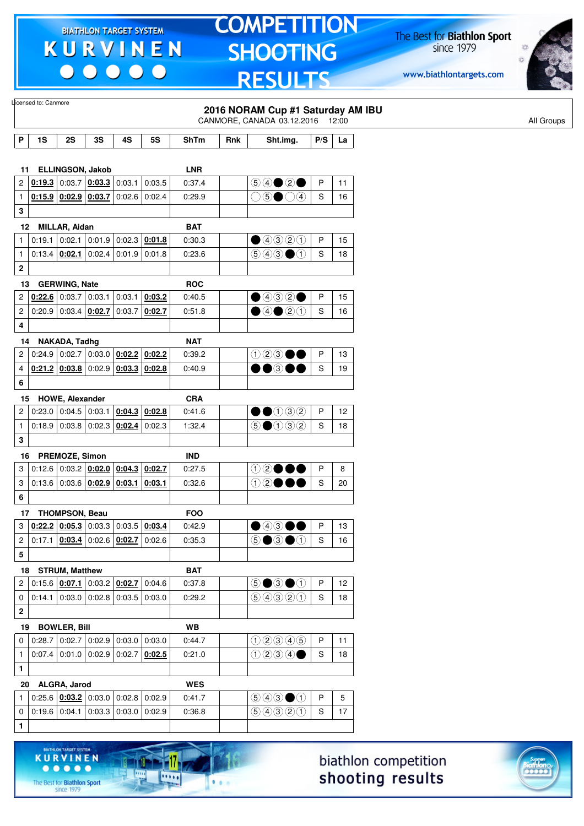00000

# **TOMPETITION SHOOTING RESULTS**

The Best for **Biathlon Sport**<br>since 1979

www.biathlontargets.com



.....

|                | Licensed to: Canmore |                                                                            |                          |                 |           |                      |     | 2016 NORAM Cup #1 Saturday AM IBU                      |              |    |
|----------------|----------------------|----------------------------------------------------------------------------|--------------------------|-----------------|-----------|----------------------|-----|--------------------------------------------------------|--------------|----|
|                |                      |                                                                            |                          |                 |           |                      |     | CANMORE, CANADA 03.12.2016 12:00                       |              |    |
| P              | 1S                   | 2S                                                                         | 3S                       | 4S              | <b>5S</b> | ShTm                 | Rnk | Sht.img.                                               | P/S          | La |
|                |                      |                                                                            |                          |                 |           |                      |     |                                                        |              |    |
| 11<br>2        |                      | <b>ELLINGSON, Jakob</b><br>$0.19.3$ 0:03.7 0:03.3                          |                          | 0:03.1          | 0:03.5    | <b>LNR</b><br>0:37.4 |     |                                                        | P            | 11 |
| 1              |                      | 0.15.9   0.02.9   0.03.7   0.02.6                                          |                          |                 | 0:02.4    | 0:29.9               |     | $\bigcirc$ $\bigcirc$ $\bigcirc$ $\bigcirc$ $\bigcirc$ | S            | 16 |
| 3              |                      |                                                                            |                          |                 |           |                      |     |                                                        |              |    |
|                | 12                   | MILLAR, Aidan                                                              |                          |                 |           | <b>BAT</b>           |     |                                                        |              |    |
| 1              | 0:19.1               | 0:02.1                                                                     |                          | $0:01.9$ 0:02.3 | 0:01.8    | 0:30.3               |     | ①③③③                                                   | P            | 15 |
| $\mathbf{1}$   |                      | $0:13.4$ 0:02.1                                                            | 0:02.4                   | 0:01.9          | 0:01.8    | 0:23.6               |     | $\circledcirc \circledcirc \bullet \circlearrowleft$   | S            | 18 |
| 2              |                      |                                                                            |                          |                 |           |                      |     |                                                        |              |    |
| 13             |                      | <b>GERWING, Nate</b>                                                       |                          |                 |           | <b>ROC</b>           |     |                                                        |              |    |
| $\overline{c}$ |                      | $0.22.6$ 0:03.7 0:03.1                                                     |                          | 0:03.1          | 0:03.2    | 0:40.5               |     | $\bigcirc$ 4320                                        | P            | 15 |
| $\overline{c}$ |                      | $0:20.9$ 0:03.4 0:02.7                                                     |                          | 0:03.7          | 0:02.7    | 0:51.8               |     | $\bigcirc$ 40 20                                       | S            | 16 |
| 4              |                      |                                                                            |                          |                 |           |                      |     |                                                        |              |    |
| 14             |                      | NAKADA, Tadhg                                                              |                          |                 |           | <b>NAT</b>           |     |                                                        |              |    |
| 2              |                      | $0.24.9$ 0.02.7 0.03.0 0.02.2                                              |                          |                 | 0:02.2    | 0:39.2               |     | 123●●                                                  | P            | 13 |
| 4              |                      | 0.21.2   0.03.8   0.02.9   0.03.3                                          |                          |                 | 0:02.8    | 0:40.9               |     | $\bullet\bullet$ 300                                   | S            | 19 |
| 6              |                      |                                                                            |                          |                 |           |                      |     |                                                        |              |    |
|                | 15                   | <b>HOWE, Alexander</b>                                                     |                          |                 |           | <b>CRA</b>           |     |                                                        |              |    |
| 2              |                      | $0:23.0$ 0:04.5 0:03.1                                                     |                          | 0:04.3          | 0:02.8    | 0:41.6               |     | $\bullet$ 0032                                         | P            | 12 |
| $\mathbf{1}$   |                      | 0.18.9   0.03.8   0.02.3   0.02.4                                          |                          |                 | 0.02.3    | 1:32.4               |     | $\textcircled{\small{1}}$                              | S            | 18 |
| 3              |                      |                                                                            |                          |                 |           |                      |     |                                                        |              |    |
| 16             |                      | PREMOZE, Simon                                                             |                          |                 |           | <b>IND</b>           |     |                                                        |              |    |
| 3              |                      | $0:12.6$ 0:03.2 0:02.0                                                     |                          | 0:04.3          | 0:02.7    | 0:27.5               |     | ⊕2●●●                                                  | P            | 8  |
| 3              |                      | $0:13.6   0:03.6   0:02.9   0:03.1   0:03.1$                               |                          |                 |           | 0:32.6               |     | 12●●●                                                  | S            | 20 |
| 6              |                      |                                                                            |                          |                 |           |                      |     |                                                        |              |    |
|                | 17                   | <b>THOMPSON, Beau</b>                                                      |                          |                 |           | <b>FOO</b>           |     |                                                        |              |    |
| 3              |                      | $\left  \frac{0.22.2}{0.05.3} \right  0.03.3 \left  0.03.5 \right  0.03.4$ |                          |                 |           | 0:42.9               |     | $\bullet$ 4300                                         | $\mathsf{P}$ | 13 |
| 2              |                      | $0:17.1$   $0:03.4$   $0:02.6$   $0:02.7$   0:02.6                         |                          |                 |           | 0:35.3               |     | <b>⑤●③●</b> ①                                          | S            | 16 |
| 5              |                      |                                                                            |                          |                 |           |                      |     |                                                        |              |    |
| 18             |                      | <b>STRUM, Matthew</b>                                                      |                          |                 |           | <b>BAT</b>           |     |                                                        |              |    |
| 2              |                      | 0:15.6 $\vert$ 0:07.1 $\vert$ 0:03.2 $\vert$ 0:02.7 $\vert$ 0:04.6         |                          |                 |           | 0:37.8               |     | $\circledcirc$ $\bullet$ $\circledcirc$                | P            | 12 |
| 0              |                      | $0:14.1$ 0:03.0 0:02.8 0:03.5 0:03.0                                       |                          |                 |           | 0:29.2               |     | 9990                                                   | S            | 18 |
| $\mathbf 2$    |                      |                                                                            |                          |                 |           |                      |     |                                                        |              |    |
| 19             |                      | <b>BOWLER, Bill</b>                                                        |                          |                 |           | <b>WB</b>            |     |                                                        |              |    |
| 0              | 0:28.7               |                                                                            | 0.02.7   0.02.9   0.03.0 |                 | 0:03.0    | 0:44.7               |     | 02305                                                  | P            | 11 |
| $\mathbf{1}$   |                      | $0.07.4$ 0.01.0 0.02.9 0.02.7                                              |                          |                 | 0:02.5    | 0:21.0               |     | 0234                                                   | S            | 18 |
| 1              |                      |                                                                            |                          |                 |           |                      |     |                                                        |              |    |
|                |                      |                                                                            |                          |                 |           |                      |     |                                                        |              |    |
| 20<br>1        |                      | ALGRA, Jarod<br>$0:25.6$ $0:03.2$ 0:03.0 0:02.8 0:02.9                     |                          |                 |           | <b>WES</b><br>0:41.7 |     | $\bigcirc \bigcirc \bigcirc \bigcirc \bigcirc$         | P            | 5  |
| 0              |                      | $0.19.6$ 0.04.1 0.03.3 0.03.0                                              |                          |                 | 0:02.9    | 0:36.8               |     | 9990                                                   | S            | 17 |
| 1              |                      |                                                                            |                          |                 |           |                      |     |                                                        |              |    |
|                |                      |                                                                            |                          |                 |           |                      |     |                                                        |              |    |
|                |                      |                                                                            |                          |                 |           | ➤                    |     |                                                        |              |    |

biathlon competition shooting results



**KURVINEN** 

**1217** 

 $\overline{\mathbf{m}}$ 

 $\bullet$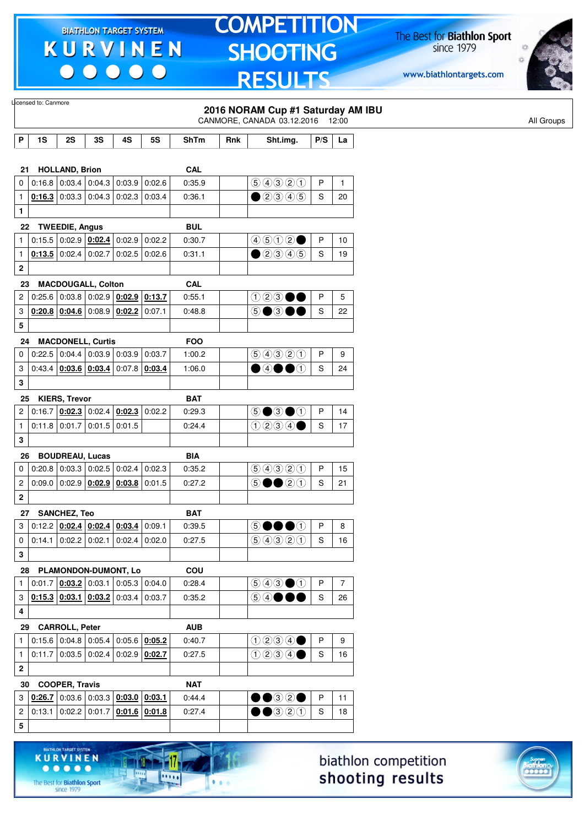$\begin{array}{c|c} \bullet & \bullet & \bullet & \bullet \end{array}$ 

### **TOMPETITION** SHOOTING **RESULTS**

The Best for **Biathlon Sport**<br>since 1979

www.biathlontargets.com



|                         | Licensed to: Canmore |                        |                                                                            |        |           |             |     | 2016 NORAM Cup #1 Saturday AM IBU<br>CANMORE, CANADA 03.12.2016 12:00                  |               |                |
|-------------------------|----------------------|------------------------|----------------------------------------------------------------------------|--------|-----------|-------------|-----|----------------------------------------------------------------------------------------|---------------|----------------|
|                         |                      |                        |                                                                            |        |           |             |     |                                                                                        |               |                |
| P                       | 1S                   | 2S                     | 3S                                                                         | 4S     | <b>5S</b> | <b>ShTm</b> | Rnk | Sht.img.                                                                               | P/S           | La             |
| 21                      |                      | <b>HOLLAND, Brion</b>  |                                                                            |        |           | <b>CAL</b>  |     |                                                                                        |               |                |
| 0                       |                      |                        | $0.16.8$ 0.03.4 0.04.3 0.03.9                                              |        | 0:02.6    | 0:35.9      |     | 9990                                                                                   | P             | $\mathbf{1}$   |
| $\mathbf{1}$            |                      |                        | $0.16.3$ 0:03.3 0:04.3 0:02.3                                              |        | 0:03.4    | 0:36.1      |     | $\bigcirc$ 20045                                                                       | S             | 20             |
| $\mathbf{1}$            |                      |                        |                                                                            |        |           |             |     |                                                                                        |               |                |
| 22                      |                      | <b>TWEEDIE, Angus</b>  |                                                                            |        |           | <b>BUL</b>  |     |                                                                                        |               |                |
| 1                       |                      |                        | 0.15.5   0.02.9   0.02.4   0.02.9                                          |        | 0:02.2    | 0:30.7      |     | 4502                                                                                   | P             | 10             |
| $\mathbf{1}$            |                      | $0:13.5$ 0:02.4 0:02.7 |                                                                            | 0:02.5 | 0.02.6    | 0:31.1      |     | $\bigcirc$ 2345                                                                        | S             | 19             |
| 2                       |                      |                        |                                                                            |        |           |             |     |                                                                                        |               |                |
| 23                      |                      |                        | <b>MACDOUGALL, Colton</b>                                                  |        |           | <b>CAL</b>  |     |                                                                                        |               |                |
| 2                       |                      |                        | 0:25.6 $\vert$ 0:03.8 $\vert$ 0:02.9 $\vert$ 0:02.9 $\vert$ 0:13.7         |        |           | 0:55.1      |     | 123●●                                                                                  | P             | 5              |
| 3                       |                      |                        | $0.20.8$ $0.04.6$ 0:08.9 0:02.2                                            |        | 0:07.1    | 0:48.8      |     | 5●3●●                                                                                  | S             | 22             |
| 5                       |                      |                        |                                                                            |        |           |             |     |                                                                                        |               |                |
| 24                      |                      |                        | <b>MACDONELL, Curtis</b>                                                   |        |           | <b>FOO</b>  |     |                                                                                        |               |                |
| 0                       |                      |                        | 0.22.5   0.04.4   0.03.9   0.03.9                                          |        | 0:03.7    | 1:00.2      |     | 9990                                                                                   | P             | 9              |
| 3                       |                      |                        | $0.43.4$ $0.03.6$ $0.03.4$ $0.07.8$ $0.03.4$                               |        |           | 1:06.0      |     | $\bullet$ 4 $\bullet$ 0                                                                | S             | 24             |
| 3                       |                      |                        |                                                                            |        |           |             |     |                                                                                        |               |                |
| 25                      |                      | <b>KIERS, Trevor</b>   |                                                                            |        |           | <b>BAT</b>  |     |                                                                                        |               |                |
| 2                       |                      |                        | 0.16.7   0.02.3   0.02.4   0.02.3                                          |        | 0:02.2    | 0:29.3      |     | 5●3●①                                                                                  | P             | 14             |
| $\mathbf{1}$            |                      |                        | $0:11.8$ 0:01.7 0:01.5 0:01.5                                              |        |           | 0:24.4      |     | $0$ 200                                                                                | S             | 17             |
| 3                       |                      |                        |                                                                            |        |           |             |     |                                                                                        |               |                |
| 26                      |                      |                        | <b>BOUDREAU, Lucas</b>                                                     |        |           | <b>BIA</b>  |     |                                                                                        |               |                |
| 0                       |                      |                        | $0.20.8$ 0.03.3 0.02.5 0.02.4                                              |        | 0:02.3    | 0:35.2      |     | 9990                                                                                   | P             | 15             |
| 2                       |                      |                        | $0.09.0$ 0.02.9 0.02.9 0.03.8                                              |        | 0:01.5    | 0:27.2      |     | 5●●2①                                                                                  | S             | 21             |
| $\mathbf 2$             |                      |                        |                                                                            |        |           |             |     |                                                                                        |               |                |
| 27                      |                      | <b>SANCHEZ, Teo</b>    |                                                                            |        |           | <b>BAT</b>  |     |                                                                                        |               |                |
| 3                       |                      |                        | $0.12.2$ $0.02.4$ $0.02.4$ $0.03.4$ $0.09.1$                               |        |           | 0:39.5      |     | 50000                                                                                  | P             | 8              |
| 0                       |                      |                        | $0.14.1$ 0.02.2 0.02.1 0.02.4                                              |        | 0:02.0    | 0:27.5      |     | 99900                                                                                  | S             | 16             |
| 3                       |                      |                        |                                                                            |        |           |             |     |                                                                                        |               |                |
| 28                      |                      |                        | PLAMONDON-DUMONT, Lo                                                       |        |           | COU         |     |                                                                                        |               |                |
| $\mathbf{1}$            |                      |                        | $0.01.7$ $0.03.2$ $0.03.1$ $0.05.3$ $0.04.0$                               |        |           | 0:28.4      |     | $\textcircled{\scriptsize{9}}\textcircled{\scriptsize{9}}\textcircled{\scriptsize{1}}$ | P             | $\overline{7}$ |
| 3                       |                      |                        | $\vert$ 0:15.3 $\vert$ 0:03.1 $\vert$ 0:03.2 $\vert$ 0:03.4 $\vert$ 0:03.7 |        |           | 0:35.2      |     | 5 4 ● ●●                                                                               | ${\mathsf S}$ | 26             |
| 4                       |                      |                        |                                                                            |        |           |             |     |                                                                                        |               |                |
| 29                      |                      | <b>CARROLL, Peter</b>  |                                                                            |        |           | <b>AUB</b>  |     |                                                                                        |               |                |
| 1                       |                      |                        | $0.15.6$ 0.04.8 0.05.4 0.05.6 0.05.2                                       |        |           | 0:40.7      |     | 0230                                                                                   | $\mathsf{P}$  | 9              |
| $\mathbf{1}$            |                      |                        | $0:11.7$ 0:03.5 0:02.4 0:02.9 0:02.7                                       |        |           | 0:27.5      |     | 0230                                                                                   | $\mathsf S$   | 16             |
| $\mathbf 2$             |                      |                        |                                                                            |        |           |             |     |                                                                                        |               |                |
| 30                      |                      | <b>COOPER, Travis</b>  |                                                                            |        |           | <b>NAT</b>  |     |                                                                                        |               |                |
| 3                       |                      |                        | $0.26.7$ 0.03.6 0.03.3 0.03.0 0.03.1                                       |        |           | 0:44.4      |     | $\bullet\textcolor{red}{\bullet\circledcirc}$                                          | P             | 11             |
| $\overline{\mathbf{c}}$ |                      |                        | $0.13.1   0.02.2   0.01.7   0.01.6   0.01.8$                               |        |           | 0:27.4      |     | $\bullet\bullet$ 320                                                                   | S             | 18             |
| 5                       |                      |                        |                                                                            |        |           |             |     |                                                                                        |               |                |
|                         |                      |                        |                                                                            |        |           |             |     |                                                                                        |               |                |





 $\begin{array}{ccccccccccccccccc} \bullet & \bullet & \bullet & \bullet & \bullet & \bullet & \bullet \end{array}$ The Best for **Biathlon Sport**<br>since 1979

**KURVINEN** 

-17

.....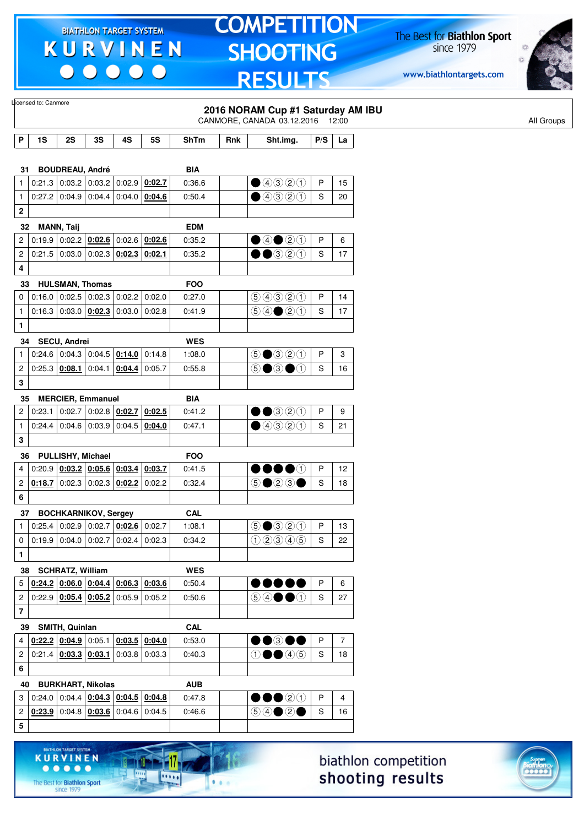$\begin{array}{c|c} \bullet & \bullet & \bullet & \bullet & \bullet \end{array}$ 

### **TOMPETITION SHOOTING RESULTS**

The Best for **Biathlon Sport**<br>since 1979

www.biathlontargets.com



|                         | Licensed to: Canmore                                    |                          |    |                                                          |                 |                      |     | 2016 NORAM Cup #1 Saturday AM IBU                                                                                                         |     |                |
|-------------------------|---------------------------------------------------------|--------------------------|----|----------------------------------------------------------|-----------------|----------------------|-----|-------------------------------------------------------------------------------------------------------------------------------------------|-----|----------------|
|                         |                                                         |                          |    |                                                          |                 |                      |     | CANMORE, CANADA 03.12.2016 12:00                                                                                                          |     |                |
| P                       | 1S                                                      | 2S                       | 3S | 4S                                                       | <b>5S</b>       | ShTm                 | Rnk | Sht.img.                                                                                                                                  | P/S | La             |
|                         |                                                         |                          |    |                                                          |                 |                      |     |                                                                                                                                           |     |                |
|                         | 31                                                      | <b>BOUDREAU, André</b>   |    |                                                          |                 | BIA                  |     |                                                                                                                                           |     |                |
| 1                       |                                                         |                          |    | $0:21.3$ 0:03.2 0:03.2 0:02.9 0:02.7                     |                 | 0:36.6               |     | $\bigcirc$ 4320                                                                                                                           | P   | 15             |
| $\mathbf{1}$            |                                                         |                          |    | $0:27.2$ 0:04.9 0:04.4 0:04.0 0:04.6                     |                 | 0:50.4               |     | $\bigcirc$ 4320                                                                                                                           | S   | 20             |
| $\overline{\mathbf{c}}$ |                                                         |                          |    |                                                          |                 |                      |     |                                                                                                                                           |     |                |
|                         | 32                                                      | <b>MANN, Taij</b>        |    |                                                          |                 | <b>EDM</b>           |     |                                                                                                                                           |     |                |
| 2                       |                                                         |                          |    | $0.19.9 \mid 0.02.2 \mid 0.02.6 \mid 0.02.6 \mid 0.02.6$ |                 | 0:35.2               |     | ④④③③                                                                                                                                      | P   | 6              |
| 2                       |                                                         |                          |    | $0.21.5   0.03.0   0.02.3   0.02.3   0.02.1$             |                 | 0:35.2               |     | $\bullet\bullet$ 320                                                                                                                      | S   | 17             |
| 4                       |                                                         |                          |    |                                                          |                 |                      |     |                                                                                                                                           |     |                |
|                         | 33 HULSMAN, Thomas                                      |                          |    |                                                          |                 | <b>FOO</b>           |     |                                                                                                                                           |     |                |
| 0                       |                                                         |                          |    | $0.16.0$ 0.02.5 0.02.3 0.02.2 0.02.0                     |                 | 0:27.0               |     | 9990                                                                                                                                      | P   | 14             |
| $\mathbf{1}$            |                                                         |                          |    | $0:16.3$ 0:03.0 <b>0:02.3</b> 0:03.0 0:02.8              |                 | 0:41.9               |     | $\bigcirc \bigcirc \bigcirc \bigcirc \bigcirc \bigcirc \bigcirc \bigcirc \bigcirc$                                                        | S   | 17             |
| $\mathbf{1}$            |                                                         |                          |    |                                                          |                 |                      |     |                                                                                                                                           |     |                |
|                         | 34 SECU, Andrei                                         |                          |    |                                                          |                 | <b>WES</b>           |     |                                                                                                                                           |     |                |
| 1                       |                                                         |                          |    | $0.24.6$ 0.04.3 0.04.5 $0.14.0$ 0.14.8                   |                 | 1:08.0               |     | $\textcircled{\footnotesize{50.0}} \textcircled{\footnotesize{7}} \textcircled{\footnotesize{1}}$                                         | P   | 3              |
| 2                       |                                                         |                          |    | $0.25.3$ $0.08.1$ 0.04.1 0.04.4 0.05.7                   |                 | 0:55.8               |     | $\circledcirc$ $\bullet$ $\circledcirc$                                                                                                   | S   | 16             |
| 3                       |                                                         |                          |    |                                                          |                 |                      |     |                                                                                                                                           |     |                |
|                         | 35                                                      | <b>MERCIER, Emmanuel</b> |    |                                                          |                 | <b>BIA</b>           |     |                                                                                                                                           |     |                |
| $\overline{c}$          |                                                         |                          |    | $0:23.1$ 0:02.7 0:02.8 0:02.7 0:02.5                     |                 | 0:41.2               |     | $\bullet\bullet$ 320                                                                                                                      | P   | 9              |
| $\mathbf{1}$            |                                                         | $0.24.4$ 0.04.6 0.03.9   |    |                                                          | $0.04.5$ 0:04.0 | 0:47.1               |     | ④④②①                                                                                                                                      | S   | 21             |
| 3                       |                                                         |                          |    |                                                          |                 |                      |     |                                                                                                                                           |     |                |
|                         | 36                                                      | PULLISHY, Michael        |    |                                                          |                 | <b>FOO</b>           |     |                                                                                                                                           |     |                |
| 4                       |                                                         |                          |    | $0:20.9$   $0:03.2$   $0:05.6$   $0:03.4$   $0:03.7$     |                 | 0:41.5               |     | $\bullet\bullet\bullet\circ$                                                                                                              | P   | 12             |
| $\overline{\mathbf{c}}$ |                                                         |                          |    | $0.18.7$ 0:02.3 0:02.3 0:02.2 0:02.2                     |                 | 0:32.4               |     | $\odot$ $\odot$ $\odot$ $\odot$                                                                                                           | S   | 18             |
| 6                       |                                                         |                          |    |                                                          |                 |                      |     |                                                                                                                                           |     |                |
|                         | 37 BOCHKARNIKOV, Sergey                                 |                          |    |                                                          |                 | <b>CAL</b>           |     |                                                                                                                                           |     |                |
|                         | $\sqrt{1 0.25.4 0.02.9 0.02.7 \mathbf{0.02.6} 0.02.7 }$ |                          |    |                                                          |                 | 1:08.1               |     | $\big  \textcircled{\textcircled{\small{3}}} \textcircled{\textcircled{\small{2}}} \textcircled{\textcirc} \big  \text{ P }   \text{ 13}$ |     |                |
| 0                       |                                                         |                          |    | $0.19.9$ 0.04.0 0.02.7 0.02.4 0.02.3                     |                 | 0:34.2               |     | 02345                                                                                                                                     | S   | 22             |
| $\mathbf{1}$            |                                                         |                          |    |                                                          |                 |                      |     |                                                                                                                                           |     |                |
|                         |                                                         |                          |    |                                                          |                 |                      |     |                                                                                                                                           |     |                |
| 5                       | 38                                                      | <b>SCHRATZ, William</b>  |    | $0.24.2$ $0.06.0$ $0.04.4$ $0.06.3$ $0.03.6$             |                 | <b>WES</b><br>0:50.4 |     | 00000                                                                                                                                     | P   | 6              |
|                         |                                                         |                          |    | $0.22.9$ $0.05.4$ $0.05.2$ 0.05.9 0.05.2                 |                 |                      |     | $\circledcirc \bullet \bullet \bullet$                                                                                                    | S   |                |
| $\overline{c}$          |                                                         |                          |    |                                                          |                 | 0:50.6               |     |                                                                                                                                           |     | 27             |
| $\overline{\mathbf{r}}$ |                                                         |                          |    |                                                          |                 |                      |     |                                                                                                                                           |     |                |
|                         | 39                                                      | SMITH, Quinlan           |    |                                                          |                 | <b>CAL</b>           |     |                                                                                                                                           |     |                |
| 4                       |                                                         |                          |    | $0.22.2$ $0.04.9$ $0.05.1$ $0.03.5$ $0.04.0$             |                 | 0:53.0               |     | $\bullet\bullet$ 300                                                                                                                      | P   | $\overline{7}$ |
| $\overline{c}$          |                                                         |                          |    | $0.21.4$ $0.03.3$ $0.03.1$ 0.03.8 0.03.3                 |                 | 0:40.3               |     | $0 \bullet 40$                                                                                                                            | S   | 18             |
| 6                       |                                                         |                          |    |                                                          |                 |                      |     |                                                                                                                                           |     |                |
|                         | 40                                                      | <b>BURKHART, Nikolas</b> |    |                                                          |                 | <b>AUB</b>           |     |                                                                                                                                           |     |                |
| 3                       |                                                         |                          |    | $0.24.0   0.04.4   0.04.3   0.04.5   0.04.8$             |                 | 0:47.8               |     | $\bullet\bullet$ 20                                                                                                                       | P   | 4              |
| $\overline{\mathbf{c}}$ |                                                         |                          |    | $0.23.9$ 0.04.8 $0.03.6$ 0.04.6 0.04.5                   |                 | 0:46.6               |     |                                                                                                                                           | S   | 16             |
| 5                       |                                                         |                          |    |                                                          |                 |                      |     |                                                                                                                                           |     |                |
|                         |                                                         |                          |    |                                                          |                 |                      |     |                                                                                                                                           |     |                |

biathlon competition shooting results



The Best for **Biathlon Sport**<br>since 1979

**KURVINEN** 

 $\begin{array}{ccccccccccccccccc} \bullet & \bullet & \bullet & \bullet & \bullet & \bullet & \bullet \end{array}$ 

11

11111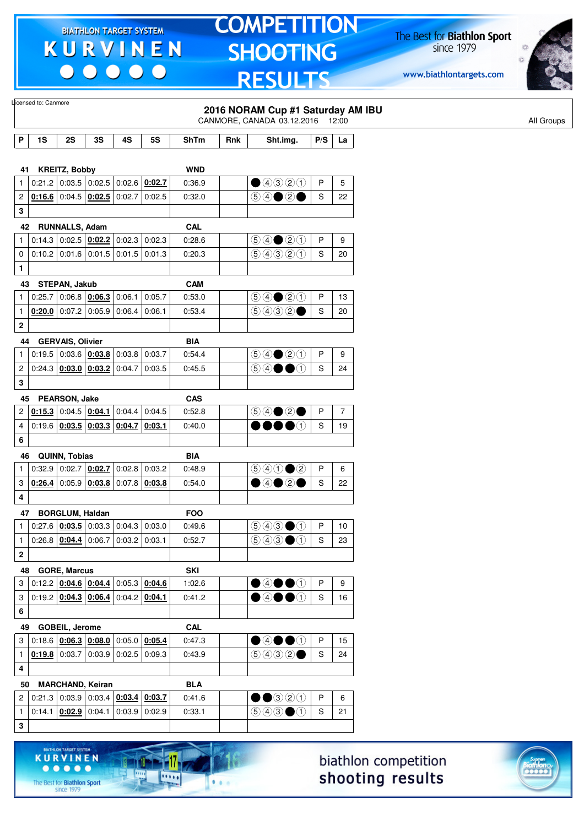$\begin{array}{c|c|c|c|c} \hline \bullet & \bullet & \bullet & \bullet & \bullet \end{array}$ 

# **TOMPETITION SHOOTING RESULTS**

The Best for **Biathlon Sport**<br>since 1979

www.biathlontargets.com



|                              | Licensed to: Canmore |                         |                                                                |        |                                        |                      |     | 2016 NORAM Cup #1 Saturday AM IBU<br>CANMORE, CANADA 03.12.2016 12:00                  |        |                      |
|------------------------------|----------------------|-------------------------|----------------------------------------------------------------|--------|----------------------------------------|----------------------|-----|----------------------------------------------------------------------------------------|--------|----------------------|
| P                            | 1S                   | 2S                      | 3S                                                             | 4S     | <b>5S</b>                              | <b>ShTm</b>          | Rnk | Sht.img.                                                                               | P/S    | La                   |
|                              |                      |                         |                                                                |        |                                        |                      |     |                                                                                        |        |                      |
| 41                           |                      | <b>KREITZ, Bobby</b>    |                                                                |        |                                        | <b>WND</b>           |     |                                                                                        |        |                      |
| $\mathbf{1}$                 |                      |                         | $0:21.2$ 0:03.5 0:02.5 0:02.6 0:02.7                           |        |                                        | 0:36.9               |     | ①③③②                                                                                   | P      | 5                    |
| 2                            |                      |                         | $0.166$ 0:04.5 $0.02.5$ 0:02.7                                 |        | 0:02.5                                 | 0:32.0               |     |                                                                                        | S      | 22                   |
| 3                            |                      |                         |                                                                |        |                                        |                      |     |                                                                                        |        |                      |
| 42                           |                      | <b>RUNNALLS, Adam</b>   |                                                                |        |                                        | <b>CAL</b>           |     |                                                                                        |        |                      |
| $\mathbf{1}$                 |                      |                         | $0:14.3$   $0:02.5$   $0:02.2$   $0:02.3$   $0:02.3$           |        |                                        | 0:28.6               |     | $\bigcirc \bigcirc \bigcirc \bigcirc \bigcirc \bigcirc \bigcirc$                       | P      | 9                    |
| 0                            |                      |                         | $0.10.2$ 0.01.6 0.01.5 0.01.5                                  |        | 0.01.3                                 | 0:20.3               |     | 99900                                                                                  | S      | 20                   |
| 1                            |                      |                         |                                                                |        |                                        |                      |     |                                                                                        |        |                      |
| 43<br>1                      | 0:25.7               | STEPAN, Jakub           | $\vert$ 0:06.8 $\vert$ <u>0:06.3 <math>\vert</math></u> 0:06.1 |        | 0:05.7                                 | <b>CAM</b><br>0:53.0 |     | $\bigcirc \bigcirc \bigcirc \bigcirc \bigcirc \bigcirc \bigcirc$                       | P      | 13                   |
| $\mathbf{1}$                 |                      |                         | $0.20.0$ 0.07.2 0.05.9 0.06.4                                  |        | 0:06.1                                 | 0:53.4               |     | (50000)                                                                                | S      | 20                   |
| $\mathbf 2$                  |                      |                         |                                                                |        |                                        |                      |     |                                                                                        |        |                      |
|                              |                      |                         |                                                                |        |                                        |                      |     |                                                                                        |        |                      |
| 44<br>1                      |                      | <b>GERVAIS, Olivier</b> | 0.19.5   0.03.6   0.03.8   0.03.8                              |        | 0:03.7                                 | <b>BIA</b><br>0.54.4 |     | $\bigcirc \bigcirc \bigcirc \bigcirc \bigcirc \bigcirc \bigcirc \bigcirc$              | P      | 9                    |
|                              |                      |                         | $0.24.3$ $0.03.0$ $0.03.2$ 0.04.7                              |        | 0:03.5                                 | 0:45.5               |     | 5 4 ● ①                                                                                | S      | 24                   |
| 2<br>3                       |                      |                         |                                                                |        |                                        |                      |     |                                                                                        |        |                      |
|                              |                      |                         |                                                                |        |                                        |                      |     |                                                                                        |        |                      |
| 45                           |                      | PEARSON, Jake           | $0.15.3$ 0:04.5 0:04.1                                         |        |                                        | <b>CAS</b>           |     |                                                                                        |        |                      |
| $\overline{\mathbf{c}}$<br>4 |                      |                         | $0.19.6$ $0.03.5$ $0.03.3$ $0.04.7$                            | 0:04.4 | 0:04.5<br>0:03.1                       | 0:52.8<br>0:40.0     |     | $\bullet\bullet\bullet\circ$                                                           | P<br>S | $\overline{7}$<br>19 |
|                              |                      |                         |                                                                |        |                                        |                      |     |                                                                                        |        |                      |
| 6                            |                      |                         |                                                                |        |                                        |                      |     |                                                                                        |        |                      |
| 46                           |                      | QUINN, Tobias           |                                                                |        |                                        | <b>BIA</b>           |     |                                                                                        |        |                      |
| 1                            | 0:32.9               |                         | $\vert$ 0:02.7 $\vert$ 0:02.7 $\vert$ 0:02.8                   |        | 0:03.2                                 | 0:48.9               |     | $\bigcirc \bigcirc \bigcirc \bigcirc \bigcirc \bigcirc \bigcirc$<br>$\bigcirc$ 40 20   | P      | 6                    |
| 3                            |                      |                         | $0.26.4$ 0.05.9 $0.03.8$ 0.07.8 0.03.8                         |        |                                        | 0:54.0               |     |                                                                                        | S      | 22                   |
| 4                            |                      |                         |                                                                |        |                                        |                      |     |                                                                                        |        |                      |
| 47                           |                      | <b>BORGLUM, Haldan</b>  |                                                                |        |                                        | <b>FOO</b>           |     |                                                                                        |        |                      |
| $\mathbf{1}$                 |                      |                         |                                                                |        | $0.27.6$ $0.03.5$ 0.03.3 0.04.3 0.03.0 | 0:49.6               |     | 90000                                                                                  | P      | 10                   |
| $\mathbf{1}$                 |                      |                         | $0.26.8$ $0.04.4$ 0.06.7 0.03.2 0.03.1                         |        |                                        | 0:52.7               |     | $\bigcirc$ $\bigcirc$ $\bigcirc$ $\bigcirc$                                            | S      | 23                   |
| $\mathbf 2$                  |                      |                         |                                                                |        |                                        |                      |     |                                                                                        |        |                      |
| 48                           |                      | <b>GORE, Marcus</b>     |                                                                |        |                                        | <b>SKI</b>           |     |                                                                                        |        |                      |
| 3                            |                      |                         | $0:12.2$ 0:04.6 0:04.4 0:05.3 0:04.6                           |        |                                        | 1:02.6               |     | $\bullet$ 4 $\bullet$ 0                                                                | P      | 9                    |
| 3                            |                      |                         | $0:19.2$ $0:04.3$ $0:06.4$ 0:04.2 0:04.1                       |        |                                        | 0:41.2               |     | $\bullet$ 4 $\bullet$ 0                                                                | S      | 16                   |
| 6                            |                      |                         |                                                                |        |                                        |                      |     |                                                                                        |        |                      |
| 49                           |                      | GOBEIL, Jerome          |                                                                |        |                                        | CAL                  |     |                                                                                        |        |                      |
| 3                            |                      |                         | $0:18.6$ $0:06.3$ $0:08.0$ 0:05.0 0:05.4                       |        |                                        | 0:47.3               |     | $\bullet$ 4 $\bullet$ 0                                                                | P      | 15                   |
| $\mathbf{1}$                 |                      |                         | $0.19.8$ 0:03.7 0:03.9 0:02.5 0:09.3                           |        |                                        | 0:43.9               |     | 9032                                                                                   | S      | 24                   |
| 4                            |                      |                         |                                                                |        |                                        |                      |     |                                                                                        |        |                      |
| 50                           |                      |                         | <b>MARCHAND, Keiran</b>                                        |        |                                        | <b>BLA</b>           |     |                                                                                        |        |                      |
| $\overline{c}$               |                      |                         | $0:21.3$ 0:03.9 0:03.4 0:03.4 0:03.7                           |        |                                        | 0:41.6               |     | $\bullet\bullet$ 320                                                                   | P      | 6                    |
| $\mathbf{1}$                 |                      |                         | 0.14.1   0.02.9   0.04.1   0.03.9                              |        | 0:02.9                                 | 0:33.1               |     | $\textcircled{\scriptsize{9}}\textcircled{\scriptsize{9}}\textcircled{\scriptsize{1}}$ | S      | 21                   |
| 3                            |                      |                         |                                                                |        |                                        |                      |     |                                                                                        |        |                      |
|                              |                      |                         |                                                                |        |                                        |                      |     |                                                                                        |        |                      |

biathlon competition shooting results



17.

 $\frac{1}{2}$ 

 $1.1.1$ 

KURVINEN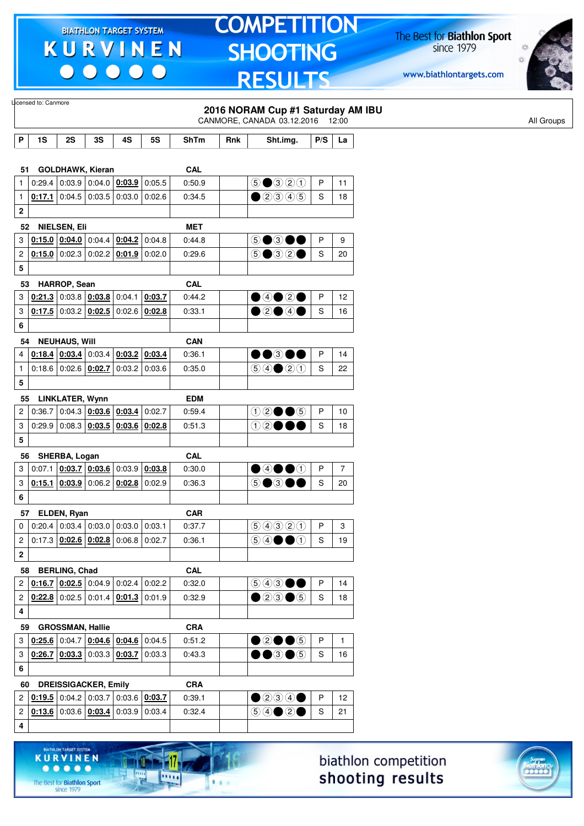$\begin{array}{c} \bullet\bullet\bullet\bullet\bullet\bullet \end{array}$ 

### **TOMPETITION** SHOOTING **RESULTS**

The Best for **Biathlon Sport**<br>since 1979

www.biathlontargets.com



|                         | Licensed to: Canmore |                                            |                                                                    |                        |           |             |     | 2016 NORAM Cup #1 Saturday AM IBU<br>CANMORE, CANADA 03.12.2016 12:00                  |     |                      |
|-------------------------|----------------------|--------------------------------------------|--------------------------------------------------------------------|------------------------|-----------|-------------|-----|----------------------------------------------------------------------------------------|-----|----------------------|
| P                       | 1S                   | 2S                                         | 3S                                                                 | 4S                     | <b>5S</b> | <b>ShTm</b> | Rnk | Sht.img.                                                                               | P/S | La                   |
|                         |                      |                                            |                                                                    |                        |           |             |     |                                                                                        |     |                      |
| 51                      |                      |                                            | <b>GOLDHAWK, Kieran</b>                                            |                        |           | <b>CAL</b>  |     |                                                                                        |     |                      |
| $\mathbf{1}$            |                      |                                            | 0.29.4   0.03.9   0.04.0   0.03.9                                  |                        | 0:05.5    | 0:50.9      |     | $\odot$ $\odot$ $\odot$ $\odot$ $\odot$                                                | P   | 11                   |
| $\mathbf{1}$            |                      |                                            | 0:17.1 $\vert$ 0:04.5 $\vert$ 0:03.5 $\vert$ 0:03.0                |                        | 0:02.6    | 0:34.5      |     | $\bigcirc$ 20045                                                                       | S   | 18                   |
| $\bf 2$                 |                      |                                            |                                                                    |                        |           |             |     |                                                                                        |     |                      |
|                         | 52                   | <b>NIELSEN, Eli</b>                        |                                                                    |                        |           | <b>MET</b>  |     |                                                                                        |     |                      |
| 3                       |                      |                                            | $0.15.0$ $0.04.0$ $0.04.4$ $0.04.2$ 0.04.8                         |                        |           | 0:44.8      |     | 5●3●●                                                                                  | P   | 9                    |
| 2                       |                      | $0:15.0$ 0:02.3                            |                                                                    | $0.02.2$ 0.01.9 0.02.0 |           | 0:29.6      |     | $5 \bullet 32 \bullet$                                                                 | S   | 20                   |
| 5                       |                      |                                            |                                                                    |                        |           |             |     |                                                                                        |     |                      |
| 53                      |                      | HARROP, Sean                               |                                                                    |                        |           | <b>CAL</b>  |     |                                                                                        |     |                      |
| 3                       |                      |                                            | $0.21.3$ 0:03.8 $0.03.8$ 0:03.8                                    |                        | 0:03.7    | 0:44.2      |     | $\bigcirc$ 4020                                                                        | P   | 12                   |
| 3                       |                      |                                            | $0.17.5$ 0:03.2 $0.02.5$ 0:02.6 0:02.8                             |                        |           | 0:33.1      |     | $\bullet$ 2000                                                                         | S   | 16                   |
| 6                       |                      |                                            |                                                                    |                        |           |             |     |                                                                                        |     |                      |
| 54                      |                      | <b>NEUHAUS, Will</b>                       |                                                                    |                        |           | <b>CAN</b>  |     |                                                                                        |     |                      |
| 4                       |                      |                                            | $0.18.4$ $0.03.4$ 0:03.4 $0.03.2$ 0.03.4                           |                        |           | 0:36.1      |     | $\bullet\bullet$ 300                                                                   | P   | 14                   |
| $\mathbf{1}$            |                      |                                            | 0.18.6   0.02.6   0.02.7                                           | $0:03.2$ 0:03.6        |           | 0:35.0      |     | $\bigcirc \bigcirc \bigcirc \bigcirc \bigcirc \bigcirc \bigcirc$                       | S   | 22                   |
| 5                       |                      |                                            |                                                                    |                        |           |             |     |                                                                                        |     |                      |
| 55                      |                      | LINKLATER, Wynn                            |                                                                    |                        |           | <b>EDM</b>  |     |                                                                                        |     |                      |
| 2                       |                      |                                            | $0:36.7$ 0:04.3 0:03.6 0:03.4 0:02.7                               |                        |           | 0:59.4      |     | $02 \bullet 6$                                                                         | P   | 10                   |
| 3                       |                      |                                            | $0:29.9$ 0:08.3 0:03.5 0:03.6 0:02.8                               |                        |           | 0:51.3      |     | ①②●●●                                                                                  | S   | 18                   |
| 5                       |                      |                                            |                                                                    |                        |           |             |     |                                                                                        |     |                      |
| 56                      |                      | SHERBA, Logan                              |                                                                    |                        |           | <b>CAL</b>  |     |                                                                                        |     |                      |
| 3                       |                      |                                            | $0.07.1$ $0.03.7$ $0.03.6$ $0.03.9$ $0.03.8$                       |                        |           | 0:30.0      |     | $\bigcirc$ 4000                                                                        | P   | 7                    |
| 3                       |                      |                                            | $0.15.1   0.03.9   0.06.2   0.02.8   0.02.9$                       |                        |           | 0:36.3      |     | 5●3●●                                                                                  | S   | 20                   |
| 6                       |                      |                                            |                                                                    |                        |           |             |     |                                                                                        |     |                      |
| 57                      |                      | ELDEN, Ryan                                |                                                                    |                        |           | <b>CAR</b>  |     |                                                                                        |     |                      |
| $\mathbf 0$             |                      |                                            | $0:20.4$ 0:03.4 0:03.0 0:03.0 0:03.1                               |                        |           | 0:37.7      |     | 60000                                                                                  | P   | 3                    |
| 2                       |                      |                                            | $0.17.3$ $0.02.6$ $0.02.8$ 0.06.8 0.02.7                           |                        |           | 0:36.1      |     | $\circledcirc \circ \bullet \bullet \circ$                                             | S   | 19                   |
| 2                       |                      |                                            |                                                                    |                        |           |             |     |                                                                                        |     |                      |
| 58                      |                      | <b>BERLING, Chad</b>                       |                                                                    |                        |           | CAL         |     |                                                                                        |     |                      |
| 2                       |                      |                                            | 0.16.7   0.02.5   0.04.9   0.02.4                                  |                        | 0:02.2    | 0:32.0      |     | $\textcircled{\scriptsize{9}}\textcircled{\scriptsize{9}}\textcircled{\scriptsize{9}}$ | P   | 14                   |
| 2                       |                      |                                            | $0.22.8$ 0.02.5 0.01.4 0.01.3 0.01.9                               |                        |           | 0:32.9      |     | $\bullet$ 20 $\bullet$ 5                                                               | S   | 18                   |
| 4                       |                      |                                            |                                                                    |                        |           |             |     |                                                                                        |     |                      |
| 59                      |                      | <b>GROSSMAN, Hallie</b>                    |                                                                    |                        |           | <b>CRA</b>  |     |                                                                                        |     |                      |
| 3                       |                      |                                            | $0.25.6$ 0.04.7 0.04.6 0.04.6 0.04.5                               |                        |           | 0:51.2      |     | $\bullet$ 2005                                                                         | P   | $\mathbf{1}$         |
| 3                       |                      |                                            | $0.26.7$ $0.03.3$ 0.03.3 $0.03.7$ 0.03.3                           |                        |           | 0:43.3      |     | $\bullet\bullet$ 3 $\bullet$ 5                                                         | S   | 16                   |
| 6                       |                      |                                            |                                                                    |                        |           |             |     |                                                                                        |     |                      |
| 60                      |                      |                                            | <b>DREISSIGACKER, Emily</b>                                        |                        |           | <b>CRA</b>  |     |                                                                                        |     |                      |
| $\overline{\mathbf{c}}$ |                      |                                            | $0.19.5$ 0.04.2 0.03.7 0.03.6 0.03.7                               |                        |           | 0:39.1      |     | $\bullet$ 200                                                                          | P   | 12                   |
| $\overline{\mathbf{c}}$ |                      |                                            | $\vert 0.13.6 \vert 0.03.6 \vert 0.03.4 \vert 0.03.9 \vert 0.03.4$ |                        |           | 0:32.4      |     | $\circledcirc \circledcirc \circledcirc$                                               | S   | 21                   |
| 4                       |                      |                                            |                                                                    |                        |           |             |     |                                                                                        |     |                      |
|                         |                      |                                            |                                                                    |                        |           |             |     |                                                                                        |     |                      |
|                         |                      | BIATHLON TARGET SYSTEM-<br><b>KURVINEN</b> |                                                                    |                        |           |             |     |                                                                                        |     | hiathlon competition |

The Best for **Biathlon Sport**<br>since 1979

111

**LOOP** 

 $\bullet$   $\bullet$ 

biathlon competition shooting results

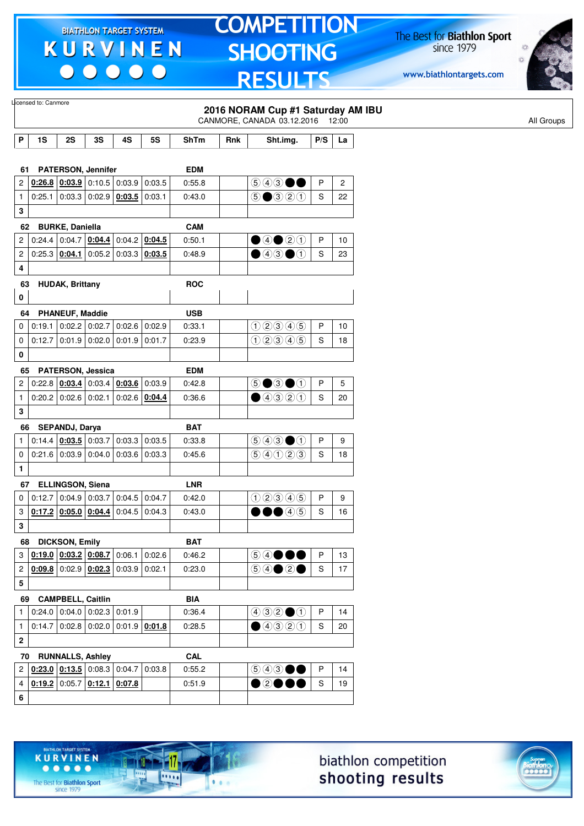$\begin{array}{c|c|c|c|c} \hline \bullet & \bullet & \bullet & \bullet & \bullet \end{array}$ 

# **TOMPETITION SHOOTING RESULTS**

The Best for **Biathlon Sport**<br>since 1979

www.biathlontargets.com



|                  |        |                            |                 |                                                                            |                 |             |     | 2016 NORAM Cup #1 Saturday AM IBU<br>CANMORE, CANADA 03.12.2016 12:00                  |     |                |
|------------------|--------|----------------------------|-----------------|----------------------------------------------------------------------------|-----------------|-------------|-----|----------------------------------------------------------------------------------------|-----|----------------|
| P                | 1S     | 2S                         | 3S              | 4S                                                                         | <b>5S</b>       | <b>ShTm</b> | Rnk | Sht.img.                                                                               | P/S | La             |
|                  |        |                            |                 |                                                                            |                 |             |     |                                                                                        |     |                |
| 61.              |        | <b>PATERSON, Jennifer</b>  |                 |                                                                            |                 | <b>EDM</b>  |     |                                                                                        |     |                |
| $\overline{c}$   | 0:26.8 | 0:03.9                     |                 | $0:10.5$ 0:03.9 0:03.5                                                     |                 | 0:55.8      |     | $\circledcirc$ $\bullet$ $\bullet$                                                     | P   | $\overline{c}$ |
| $\mathbf{1}$     | 0:25.1 | 0:03.3                     | 0:02.9          | $0:03.5$ 0:03.1                                                            |                 | 0:43.0      |     | $\bigcirc$ $\bigcirc$ $\bigcirc$ $\bigcirc$                                            | S   | 22             |
| 3                |        |                            |                 |                                                                            |                 |             |     |                                                                                        |     |                |
| 62               |        | <b>BURKE, Daniella</b>     |                 |                                                                            |                 | <b>CAM</b>  |     |                                                                                        |     |                |
| $\overline{2}$   |        |                            |                 | $0.24.4$ 0.04.7 $0.04.4$ 0.04.2 0.04.5                                     |                 | 0:50.1      |     | $\bullet$ 4 $\bullet$ 2 $\circ$                                                        | P   | 10             |
| $\overline{c}$   |        | $0:25.3$ 0:04.1            | 0:05.2          |                                                                            | $0:03.3$ 0:03.5 | 0:48.9      |     | $\bullet$ 43 $\bullet$ 1                                                               | S   | 23             |
| 4                |        |                            |                 |                                                                            |                 |             |     |                                                                                        |     |                |
| 63               |        | <b>HUDAK, Brittany</b>     |                 |                                                                            |                 | <b>ROC</b>  |     |                                                                                        |     |                |
| 0                |        |                            |                 |                                                                            |                 |             |     |                                                                                        |     |                |
| 64               |        | <b>PHANEUF, Maddie</b>     |                 |                                                                            |                 | <b>USB</b>  |     |                                                                                        |     |                |
| 0                | 0:19.1 |                            | $0:02.2$ 0:02.7 |                                                                            | $0:02.6$ 0:02.9 | 0:33.1      |     | 02345                                                                                  | P   | 10             |
| 0                | 0:12.7 | 0.01.9 0.02.0              |                 |                                                                            | $0:01.9$ 0:01.7 | 0:23.9      |     | 02345                                                                                  | S   | 18             |
| 0                |        |                            |                 |                                                                            |                 |             |     |                                                                                        |     |                |
| 65               |        | <b>PATERSON, Jessica</b>   |                 |                                                                            |                 | <b>EDM</b>  |     |                                                                                        |     |                |
| $\overline{2}$   |        | 0:22.8   0:03.4            | 0:03.4          | $0:03.6$ 0:03.9                                                            |                 | 0.42.8      |     | $\circledcirc$ $\bullet$ $\circledcirc$                                                | P   | 5              |
| $\mathbf{1}$     |        | $0:20.2$ 0:02.6            | 0:02.1          |                                                                            | $0:02.6$ 0:04.4 | 0:36.6      |     | $\bigcirc$ 4320                                                                        | S   | 20             |
| 3                |        |                            |                 |                                                                            |                 |             |     |                                                                                        |     |                |
| 66               |        | SEPANDJ, Darya             |                 |                                                                            |                 | <b>BAT</b>  |     |                                                                                        |     |                |
| $\mathbf{1}$     |        | $0:14.4$   0:03.5   0:03.7 |                 |                                                                            | $0:03.3$ 0:03.5 | 0:33.8      |     | $\textcircled{\scriptsize{9}}\textcircled{\scriptsize{9}}\textcircled{\scriptsize{1}}$ | P   | 9              |
| 0                |        | $0:21.6$ 0:03.9            | 0:04.0          |                                                                            | $0:03.6$ 0:03.3 | 0:45.6      |     | 90020                                                                                  | S   | 18             |
| 1                |        |                            |                 |                                                                            |                 |             |     |                                                                                        |     |                |
| 67               |        | <b>ELLINGSON, Siena</b>    |                 |                                                                            |                 | <b>LNR</b>  |     |                                                                                        |     |                |
| 0                |        | 0:12.7 0:04.9              |                 | $\vert 0.03.7 \vert 0.04.5 \vert 0.04.7$                                   |                 | 0.42.0      |     | 02305                                                                                  | P   | 9              |
| 3                |        | $0:17.2$ 0:05.0 0:04.4     |                 |                                                                            | $0:04.5$ 0:04.3 | 0:43.0      |     | $\bigcirc$ $\bigcirc$                                                                  | S   | 16             |
| 3                |        |                            |                 |                                                                            |                 |             |     |                                                                                        |     |                |
|                  |        | 68 DICKSON, Emily          |                 |                                                                            |                 | <b>BAT</b>  |     |                                                                                        |     |                |
| 3                |        |                            |                 | $\vert$ 0:19.0 $\vert$ 0:03.2 $\vert$ 0:08.7 $\vert$ 0:06.1 $\vert$ 0:02.6 |                 | 0:46.2      |     | 5 4 ● ● ●                                                                              | P   | 13             |
| $\overline{2}$   |        |                            |                 | $0.09.8$ 0.02.9 $0.02.3$ 0.03.9 0.02.1                                     |                 | 0:23.0      |     |                                                                                        | S   | 17             |
| 5                |        |                            |                 |                                                                            |                 |             |     |                                                                                        |     |                |
| 69               |        | <b>CAMPBELL, Caitlin</b>   |                 |                                                                            |                 | <b>BIA</b>  |     |                                                                                        |     |                |
| $\mathbf{1}$     |        |                            |                 | $0.24.0$ 0.04.0 0.02.3 0.01.9                                              |                 | 0:36.4      |     | 400000                                                                                 | P   | 14             |
| $\mathbf{1}$     |        |                            |                 | $0.14.7$ 0.02.8 0.02.0 0.01.9 0.01.8                                       |                 |             |     | $\bullet$ 4320                                                                         | S   | $20\,$         |
| $\boldsymbol{2}$ |        |                            |                 |                                                                            |                 | 0:28.5      |     |                                                                                        |     |                |
|                  |        |                            |                 |                                                                            |                 |             |     |                                                                                        |     |                |
| 70               |        | <b>RUNNALLS, Ashley</b>    |                 |                                                                            |                 | CAL         |     |                                                                                        |     |                |
|                  |        |                            |                 | $2   0:23.0   0:13.5   0:08.3   0:04.7   0:03.8$                           |                 | 0:55.2      |     | $\circledcirc$ $\bullet$ $\bullet$                                                     | P   | 14             |
| 4                |        |                            |                 | $0.19.2$ 0:05.7 $0.12.1$ 0:07.8                                            |                 | 0:51.9      |     | ●②●●●                                                                                  | S   | 19             |
| 6                |        |                            |                 |                                                                            |                 |             |     |                                                                                        |     |                |





The Best for **Biathlon Sport**<br>since 1979

TARGET SYSTEM

17

11111

 $1.1.1$ 

**KURVINEN** 

 $• • • • •$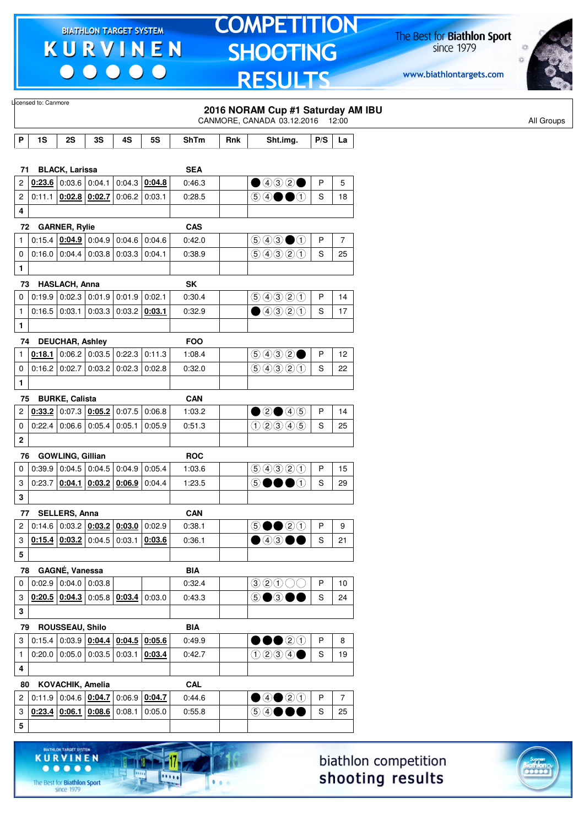$\begin{array}{c|c|c|c|c} \hline \bullet & \bullet & \bullet & \bullet & \bullet \end{array}$ 

# **TOMPETITION SHOOTING RESULTS**

The Best for **Biathlon Sport**<br>since 1979

www.biathlontargets.com



|              | Licensed to: Canmore |                         |                                                                                              |                        |           |                      |     |                                                                 |               |                |
|--------------|----------------------|-------------------------|----------------------------------------------------------------------------------------------|------------------------|-----------|----------------------|-----|-----------------------------------------------------------------|---------------|----------------|
|              |                      |                         |                                                                                              |                        |           |                      |     | 2016 NORAM Cup #1 Saturday AM IBU<br>CANMORE, CANADA 03.12.2016 |               | 12:00          |
|              |                      |                         |                                                                                              |                        |           |                      |     |                                                                 |               |                |
| P            | 1S                   | 2S                      | 3S                                                                                           | 4S                     | <b>5S</b> | <b>ShTm</b>          | Rnk | Sht.img.                                                        | P/S           | La             |
|              |                      |                         |                                                                                              |                        |           |                      |     |                                                                 |               |                |
| 71           |                      | <b>BLACK, Larissa</b>   |                                                                                              |                        |           | <b>SEA</b>           |     |                                                                 |               |                |
| 2            |                      | $0.23.6$ 0.03.6 0.04.1  |                                                                                              | 0:04.3                 | 0:04.8    | 0:46.3               |     | $\bigcirc$ 4020                                                 | $\mathsf{P}$  | 5              |
| 2            | 0:11.1               |                         | $0.02.8$ 0.02.7                                                                              | 0:06.2                 | 0:03.1    | 0:28.5               |     | $\circledcirc \bullet \bullet \bullet$                          | S             | 18             |
| 4            |                      |                         |                                                                                              |                        |           |                      |     |                                                                 |               |                |
| 72           |                      | <b>GARNER, Rylie</b>    |                                                                                              |                        |           | <b>CAS</b>           |     |                                                                 |               |                |
| $\mathbf{1}$ |                      |                         | 0.15.4   0.04.9   0.04.9   0.04.6                                                            |                        | 0:04.6    | 0:42.0               |     | $\bigcirc$ 4300                                                 | P             | $\overline{7}$ |
| 0            |                      | $0:16.0$ 0:04.4         |                                                                                              | $0:03.8$ 0:03.3        | 0:04.1    | 0:38.9               |     | 9990                                                            | S             | 25             |
| $\mathbf{1}$ |                      |                         |                                                                                              |                        |           |                      |     |                                                                 |               |                |
| 73           |                      | <b>HASLACH, Anna</b>    |                                                                                              |                        |           | SK                   |     |                                                                 |               |                |
| 0            |                      |                         | $0.19.9$ 0.02.3 0.01.9 0.01.9                                                                |                        | 0:02.1    | 0:30.4               |     | 9990                                                            | P             | 14             |
| $\mathbf{1}$ |                      | $0:16.5$ 0:03.1         |                                                                                              | $0:03.3$ 0:03.2 0:03.1 |           | 0:32.9               |     | ①③③③                                                            | S             | 17             |
| $\mathbf{1}$ |                      |                         |                                                                                              |                        |           |                      |     |                                                                 |               |                |
|              | 74                   | <b>DEUCHAR, Ashley</b>  |                                                                                              |                        |           | <b>FOO</b>           |     |                                                                 |               |                |
| 1            |                      |                         | $0.18.1$ 0:06.2 0:03.5 0:22.3                                                                |                        | 0:11.3    | 1:08.4               |     | 9932                                                            | P             | 12             |
| 0            |                      |                         | $0.16.2$ 0.02.7 0.03.2 0.02.3                                                                |                        | 0:02.8    | 0:32.0               |     | 99920                                                           | S             | 22             |
| $\mathbf{1}$ |                      |                         |                                                                                              |                        |           |                      |     |                                                                 |               |                |
| 75           |                      | <b>BURKE, Calista</b>   |                                                                                              |                        |           | <b>CAN</b>           |     |                                                                 |               |                |
| 2            |                      |                         | $0.33.2$ 0.07.3 0.05.2                                                                       | 0:07.5                 | 0:06.8    | 1:03.2               |     | ②②④④                                                            | P             | 14             |
| 0            |                      |                         | $0:22.4$ 0:06.6 0:05.4                                                                       | 0:05.1                 | 0:05.9    | 0:51.3               |     | 02305                                                           | S             | 25             |
| 2            |                      |                         |                                                                                              |                        |           |                      |     |                                                                 |               |                |
| 76           |                      | <b>GOWLING, Gillian</b> |                                                                                              |                        |           | <b>ROC</b>           |     |                                                                 |               |                |
| 0            |                      |                         | $0.39.9$ 0.04.5 0.04.5                                                                       | 0:04.9                 | 0:05.4    | 1:03.6               |     | 9990                                                            | P             | 15             |
| 3            | 0:23.7               |                         | $0.04.1$ $0.03.2$ $0.06.9$                                                                   |                        | 0:04.4    | 1:23.5               |     | 5●●●①                                                           | S             | 29             |
| 3            |                      |                         |                                                                                              |                        |           |                      |     |                                                                 |               |                |
|              |                      |                         |                                                                                              |                        |           |                      |     |                                                                 |               |                |
| 2            | 77                   | <b>SELLERS, Anna</b>    | $\vert$ 0:14.6 $\vert$ 0:03.2 $\vert$ <u>0:03.2 <math>\vert</math> 0:03.0</u> $\vert$ 0:02.9 |                        |           | <b>CAN</b><br>0:38.1 |     | $\circledcirc \bullet \circledcirc \circledcirc$                | P             | 9              |
|              |                      |                         | $0.15.4$ $0.03.2$ 0:04.5 0:03.1 0:03.6                                                       |                        |           |                      |     |                                                                 |               |                |
| 3            |                      |                         |                                                                                              |                        |           | 0:36.1               |     | $\bullet$ 4300                                                  | S             | 21             |
| 5            |                      |                         |                                                                                              |                        |           |                      |     |                                                                 |               |                |
|              | 78                   | GAGNÉ, Vanessa          |                                                                                              |                        |           | <b>BIA</b>           |     |                                                                 |               |                |
| 0            |                      |                         | 0.02.9 0.04.0 0.03.8                                                                         |                        |           | 0:32.4               |     | $\circledcirc \circledcirc \circlearrowright \circlearrowright$ | P             | 10             |
| 3            |                      |                         | 0.20.5   0.04.3   0.05.8   0.03.4                                                            |                        | 0:03.0    | 0:43.3               |     | <b>⑤●③●●</b>                                                    | S             | 24             |
| 3            |                      |                         |                                                                                              |                        |           |                      |     |                                                                 |               |                |
| 79           |                      | ROUSSEAU, Shilo         |                                                                                              |                        |           | <b>BIA</b>           |     |                                                                 |               |                |
| 3            |                      |                         | $0.15.4   0.03.9   0.04.4   0.04.5   0.05.6$                                                 |                        |           | 0:49.9               |     | $\bullet\bullet\circ\circ$                                      | $\mathsf{P}$  | 8              |
| $\mathbf{1}$ |                      |                         | $0:20.0$ 0:05.0 0:03.5 0:03.1 0:03.4                                                         |                        |           | 0:42.7               |     | 0234                                                            | ${\mathsf S}$ | 19             |
| 4            |                      |                         |                                                                                              |                        |           |                      |     |                                                                 |               |                |
| 80           |                      | KOVACHIK, Amelia        |                                                                                              |                        |           | CAL                  |     |                                                                 |               |                |
| 2            |                      |                         | $0.11.9$ 0.04.6 $0.04.7$ 0.06.9 0.04.7                                                       |                        |           | 0:44.6               |     | ④④③③                                                            | $\mathsf{P}$  | $\overline{7}$ |
| 3            |                      |                         | $0.23.4$ 0.06.1 0.08.6 0.08.1                                                                |                        | 0:05.0    | 0:55.8               |     | 5 4 ● ●●                                                        | S             | 25             |
| 5            |                      |                         |                                                                                              |                        |           |                      |     |                                                                 |               |                |
|              |                      |                         |                                                                                              |                        |           |                      |     |                                                                 |               |                |





**KURVINEN** 

**GET SYSTE** 

17

**DOM:**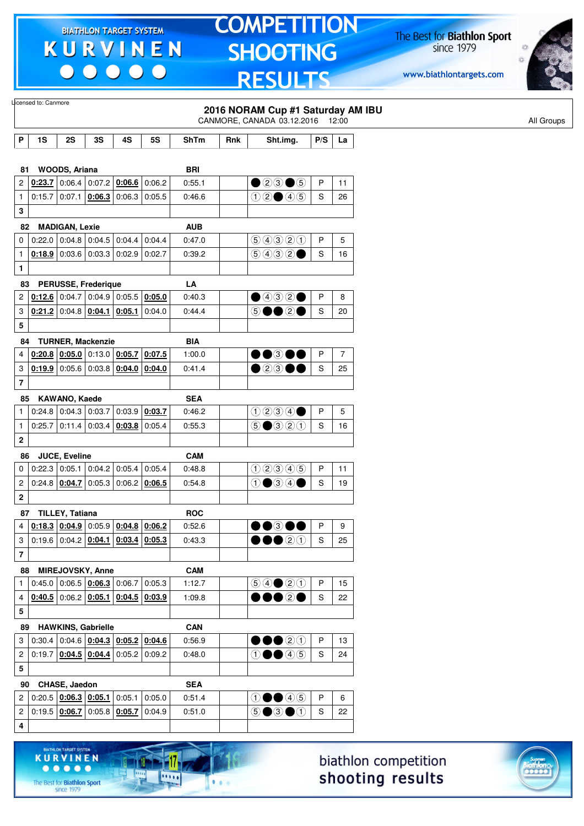$\begin{array}{c|c|c|c|c} \hline \bullet & \bullet & \bullet & \bullet & \bullet \end{array}$ 

**KURVINEN** 

 $\begin{array}{ccccccccccccccccc} \bullet & \bullet & \bullet & \bullet & \bullet & \bullet & \bullet \end{array}$ 

The Best for **Biathlon Sport**<br>since 1979

-17

11111

 $1.1.1$ 

# **TOMPETITION SHOOTING RESULTS**

The Best for **Biathlon Sport**<br>since 1979

www.biathlontargets.com



|                         | Licensed to: Canmore |                       |                                                                    |                        |           |             |     |                                                                     |               |                |
|-------------------------|----------------------|-----------------------|--------------------------------------------------------------------|------------------------|-----------|-------------|-----|---------------------------------------------------------------------|---------------|----------------|
|                         |                      |                       |                                                                    |                        |           |             |     | 2016 NORAM Cup #1 Saturday AM IBU<br>CANMORE, CANADA 03.12.2016     |               |                |
|                         |                      |                       |                                                                    |                        |           |             |     |                                                                     |               | 12:00          |
| P                       | 1S                   | 2S                    | 3S                                                                 | 4S                     | <b>5S</b> | <b>ShTm</b> | Rnk | Sht.img.                                                            | P/S           | La             |
|                         |                      |                       |                                                                    |                        |           |             |     |                                                                     |               |                |
| 81                      |                      | WOODS, Ariana         |                                                                    |                        |           | <b>BRI</b>  |     |                                                                     |               |                |
| 2                       | 0:23.7               |                       | $0.06.4$ 0.07.2 0.06.6 0.06.2                                      |                        |           | 0:55.1      |     | $\bullet$ 20 $\bullet$ 5                                            | $\sf P$       | 11             |
| $\mathbf{1}$            | 0:15.7               | 0:07.1                |                                                                    | $0.06.3$ 0:06.3        | 0:05.5    | 0:46.6      |     | $0$ 2005                                                            | S             | 26             |
| 3                       |                      |                       |                                                                    |                        |           |             |     |                                                                     |               |                |
| 82                      |                      | <b>MADIGAN, Lexie</b> |                                                                    |                        |           | <b>AUB</b>  |     |                                                                     |               |                |
| $\pmb{0}$               |                      |                       | $0.22.0$ 0.04.8 0.04.5 0.04.4                                      |                        | 0:04.4    | 0:47.0      |     | 99900                                                               | P             | 5              |
| $\mathbf{1}$            |                      |                       | $0.18.9$ 0:03.6 0:03.3 0:02.9                                      |                        | 0:02.7    | 0:39.2      |     | 9032                                                                | $\mathbf S$   | 16             |
| 1                       |                      |                       |                                                                    |                        |           |             |     |                                                                     |               |                |
| 83                      |                      |                       | <b>PERUSSE, Frederique</b>                                         |                        |           | LA          |     |                                                                     |               |                |
| $\overline{\mathbf{c}}$ |                      |                       | $0.12.6$ 0.04.7 0.04.9 0.05.5                                      |                        | 0:05.0    | 0:40.3      |     | $\bullet$ 432 $\bullet$                                             | P             | 8              |
| 3                       |                      |                       | $0.21.2$ 0:04.8 $0.04.1$ 0:05.1                                    |                        | 0:04.0    | 0:44.4      |     | 5●●2●                                                               | S             | 20             |
| 5                       |                      |                       |                                                                    |                        |           |             |     |                                                                     |               |                |
| 84                      |                      |                       | <b>TURNER, Mackenzie</b>                                           |                        |           | <b>BIA</b>  |     |                                                                     |               |                |
| 4                       |                      |                       | $0.20.8$ 0.05.0 0.13.0 0.05.7                                      |                        | 0:07.5    | 1:00.0      |     | ••®••                                                               | P             | $\overline{7}$ |
| 3                       |                      |                       | $0.19.9$ 0.05.6 0.03.8 0.04.0 0.04.0                               |                        |           | 0:41.4      |     | $\bullet$ 2300                                                      | ${\mathsf S}$ | 25             |
| $\overline{\mathbf{7}}$ |                      |                       |                                                                    |                        |           |             |     |                                                                     |               |                |
| 85                      |                      | KAWANO, Kaede         |                                                                    |                        |           | <b>SEA</b>  |     |                                                                     |               |                |
| $\mathbf{1}$            |                      | $0:24.8$ 0:04.3       | 0:03.7                                                             | 0:03.9                 | 0:03.7    | 0:46.2      |     | 0234                                                                | P             | 5              |
| $\mathbf{1}$            | 0:25.7               |                       | $\vert$ 0:11.4 $\vert$ 0:03.4 $\vert$ <u>0:03.8</u> $\vert$ 0:05.4 |                        |           | 0:55.3      |     | $\odot$ $\odot$ $\odot$ $\odot$ $\odot$                             | S             | 16             |
|                         |                      |                       |                                                                    |                        |           |             |     |                                                                     |               |                |
| $\mathbf 2$             |                      |                       |                                                                    |                        |           |             |     |                                                                     |               |                |
| 86                      |                      | JUCE, Eveline         |                                                                    |                        |           | <b>CAM</b>  |     |                                                                     |               |                |
| 0                       |                      | $0:22.3$ 0:05.1       |                                                                    | $0:04.2$ 0:05.4        | 0:05.4    | 0:48.8      |     | 02345                                                               | P             | 11             |
| 2                       |                      | 0.24.8   0.04.7       |                                                                    | $0:05.3$ 0:06.2 0:06.5 |           | 0:54.8      |     | $0$ $\bullet$ $\circ$ $\circ$                                       | $\mathsf S$   | 19             |
| $\mathbf 2$             |                      |                       |                                                                    |                        |           |             |     |                                                                     |               |                |
|                         | 87 TILLEY, Tatiana   |                       |                                                                    |                        |           | <b>ROC</b>  |     |                                                                     |               |                |
| $\overline{4}$          |                      |                       | $0.18.3$ $0.04.9$ $0.05.9$ $0.04.8$ $0.06.2$                       |                        |           | 0:52.6      |     | DO®OO                                                               | P             | 9              |
| 3                       |                      |                       | $0:19.6$ 0:04.2 $0:04.1$ 0:03.4 0:05.3                             |                        |           | 0:43.3      |     | $\bullet\bullet\circ\circ$                                          | S             | 25             |
| $\bf 7$                 |                      |                       |                                                                    |                        |           |             |     |                                                                     |               |                |
| 88                      |                      |                       | MIREJOVSKY, Anne                                                   |                        |           | <b>CAM</b>  |     |                                                                     |               |                |
| 1                       |                      |                       | 0.45.0   0.06.5   0.06.3   0.06.7                                  |                        | 0:05.3    | 1:12.7      |     | $\bigcirc \bigcirc \bigcirc \bigcirc \bigcirc \bigcirc \bigcirc$    | $\mathsf{P}$  | 15             |
| 4                       |                      |                       | $0.40.5$ 0.06.2 0.05.1 0.04.5 0.03.9                               |                        |           | 1:09.8      |     | $\bullet\bullet\circ\bullet$                                        | ${\mathsf S}$ | 22             |
| 5                       |                      |                       |                                                                    |                        |           |             |     |                                                                     |               |                |
| 89                      |                      |                       | <b>HAWKINS, Gabrielle</b>                                          |                        |           | <b>CAN</b>  |     |                                                                     |               |                |
| 3                       |                      |                       | $0:30.4$ 0:04.6 $0:04.3$ 0:05.2 0:04.6                             |                        |           | 0:56.9      |     | $\bullet\bullet\textcircled{\scriptsize{20}}$                       | $\sf P$       | 13             |
| $\overline{\mathbf{c}}$ |                      |                       | $0.19.7   0.04.5   0.04.4   0.05.2   0.09.2$                       |                        |           | 0:48.0      |     | $\textcircled{\small{1}}\bullet\textcircled{\small{4}}\circledcirc$ | $\mathsf S$   | 24             |
| 5                       |                      |                       |                                                                    |                        |           |             |     |                                                                     |               |                |
|                         |                      |                       |                                                                    |                        |           |             |     |                                                                     |               |                |
| 90                      |                      | CHASE, Jaedon         |                                                                    |                        |           | <b>SEA</b>  |     |                                                                     | P             |                |
| $\overline{2}$          |                      |                       | 0.20.5   0.06.3   0.05.1   0.05.1                                  |                        | 0:05.0    | 0:51.4      |     | $\textcircled{\small{1}}\bullet\textcircled{\small{4}}\circledcirc$ |               | 6              |
| $\boldsymbol{2}$        |                      | $0:19.5$ 0:06.7       |                                                                    | $0:05.8$ 0:05.7        | 0:04.9    | 0:51.0      |     | $\circledcirc$ $\bullet$ $\circledcirc$                             | S             | 22             |
| 4                       |                      |                       |                                                                    |                        |           |             |     |                                                                     |               |                |
|                         |                      |                       |                                                                    |                        |           |             |     |                                                                     |               |                |



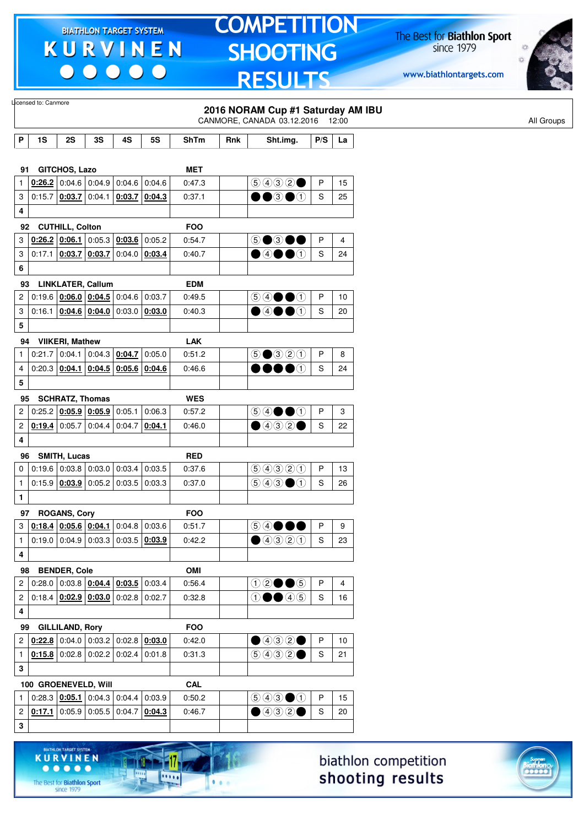$\begin{array}{c} \bullet\bullet\bullet\bullet\bullet\bullet \end{array}$ 

**GET SYSTE** 

11

**DOM:** 

 $1.1.1$ 

**KURVINEN** 

 $\begin{array}{ccccccccccccccccc} \bullet & \bullet & \bullet & \bullet & \bullet & \bullet & \bullet \end{array}$ 

The Best for **Biathlon Sport**<br>since 1979

### **TOMPETITION** SHOOTING **RESULTS**

The Best for **Biathlon Sport**<br>since 1979

www.biathlontargets.com



|                | Licensed to: Canmore |                        |                                                                            |                 |           |             |     | 2016 NORAM Cup #1 Saturday AM IBU                                                      |              |                |
|----------------|----------------------|------------------------|----------------------------------------------------------------------------|-----------------|-----------|-------------|-----|----------------------------------------------------------------------------------------|--------------|----------------|
|                |                      |                        |                                                                            |                 |           |             |     | CANMORE, CANADA 03.12.2016 12:00                                                       |              |                |
| P              | 1S                   | 2S                     | 3S                                                                         | 4S              | <b>5S</b> | <b>ShTm</b> | Rnk | Sht.img.                                                                               | P/S          | La             |
|                |                      |                        |                                                                            |                 |           |             |     |                                                                                        |              |                |
| 91             |                      | <b>GITCHOS, Lazo</b>   |                                                                            |                 |           | <b>MET</b>  |     |                                                                                        |              |                |
| 1              |                      |                        | $0.26.2$ 0:04.6 0:04.9 0:04.6                                              |                 | 0:04.6    | 0:47.3      |     | 9992                                                                                   | P            | 15             |
| 3              |                      | $0:15.7$ 0:03.7 0:04.1 |                                                                            | 0:03.7          | 0:04.3    | 0:37.1      |     | $\bullet\bullet$ 3 $\bullet\circ$                                                      | S            | 25             |
| 4              |                      |                        |                                                                            |                 |           |             |     |                                                                                        |              |                |
| 92             |                      | <b>CUTHILL, Colton</b> |                                                                            |                 |           | <b>FOO</b>  |     |                                                                                        |              |                |
| 3              |                      | $0:26.2$ 0:06.1        |                                                                            | $0:05.3$ 0:03.6 | 0:05.2    | 0:54.7      |     | 50300                                                                                  | P            | 4              |
| 3              | 0:17.1               |                        | $0.03.7$ 0.03.7                                                            | 0.04.0          | 0:03.4    | 0:40.7      |     | $\bigcirc$ 4000                                                                        | S            | 24             |
| 6              |                      |                        |                                                                            |                 |           |             |     |                                                                                        |              |                |
| 93             |                      |                        | <b>LINKLATER, Callum</b>                                                   |                 |           | <b>EDM</b>  |     |                                                                                        |              |                |
| 2              |                      |                        | $0.19.6$ $0.06.0$ $0.04.5$ 0.04.6 0.03.7                                   |                 |           | 0:49.5      |     | $\circledcircled{\blacklozenge\blacklozenge\blacklozenge\blacklozenge}$                | P            | 10             |
| 3              |                      |                        | $0.16.1   0.04.6   0.04.0   0.03.0   0.03.0$                               |                 |           | 0:40.3      |     | $\bullet$ 4 $\bullet$ 0                                                                | S            | 20             |
| 5              |                      |                        |                                                                            |                 |           |             |     |                                                                                        |              |                |
| 94             |                      | <b>VIIKERI, Mathew</b> |                                                                            |                 |           | <b>LAK</b>  |     |                                                                                        |              |                |
| 1              |                      |                        | $0.21.7$ 0.04.1 0.04.3 0.04.7                                              |                 | 0:05.0    | 0:51.2      |     | $\bigcirc$ $\bigcirc$ $\bigcirc$ $\bigcirc$ $\bigcirc$                                 | P            | 8              |
| 4              |                      |                        | $0:20.3$ 0:04.1 0:04.5 0:05.6 0:04.6                                       |                 |           | 0:46.6      |     | $\bullet\bullet\bullet\circ$                                                           | S            | 24             |
| 5              |                      |                        |                                                                            |                 |           |             |     |                                                                                        |              |                |
| 95             |                      | <b>SCHRATZ, Thomas</b> |                                                                            |                 |           | <b>WES</b>  |     |                                                                                        |              |                |
| 2              |                      |                        | 0.25.2   0.05.9   0.05.9   0.05.1                                          |                 | 0:06.3    | 0:57.2      |     | $\circledcircledast \bullet \bullet \circledast$                                       | P            | 3              |
| 2              |                      |                        | <b>0:19.4</b> 0:05.7 0:04.4 0:04.7                                         |                 | 0:04.1    | 0:46.0      |     | $\bigcirc$ 432 $\bigcirc$                                                              | S            | 22             |
| 4              |                      |                        |                                                                            |                 |           |             |     |                                                                                        |              |                |
|                |                      |                        |                                                                            |                 |           | <b>RED</b>  |     |                                                                                        |              |                |
| 96<br>0        |                      | SMITH, Lucas           | $0.19.6$ 0.03.8 0.03.0 0.03.4                                              |                 | 0:03.5    | 0:37.6      |     | 99900                                                                                  | P            | 13             |
| $\mathbf{1}$   |                      |                        | $0.15.9$ $0.03.9$ $0.05.2$ $0.03.5$                                        |                 | 0:03.3    | 0:37.0      |     | $\bigcirc$ 43 (1)                                                                      | S            | 26             |
| 1              |                      |                        |                                                                            |                 |           |             |     |                                                                                        |              |                |
|                |                      |                        |                                                                            |                 |           |             |     |                                                                                        |              |                |
| 97<br>3        |                      | <b>ROGANS, Cory</b>    |                                                                            |                 |           | <b>FOO</b>  |     |                                                                                        | P            |                |
|                |                      |                        | $0.18.4$ $0.05.6$ $0.04.1$ 0.04.8 0.03.6                                   |                 |           | 0:51.7      |     | $\circledcircledast \bullet \bullet \bullet$                                           |              | 9              |
| $\mathbf{1}$   |                      |                        | $0.19.0   0.04.9   0.03.3   0.03.5   0.03.9$                               |                 |           | 0:42.2      |     | ④④③③                                                                                   | S            | 23             |
| 4              |                      |                        |                                                                            |                 |           |             |     |                                                                                        |              |                |
| 98             |                      | <b>BENDER, Cole</b>    |                                                                            |                 |           | OMI         |     |                                                                                        |              |                |
| 2              |                      |                        | $0:28.0$ 0:03.8 $0:04.4$ 0:03.5 0:03.4                                     |                 |           | 0:56.4      |     | $02 \bullet 6$                                                                         | P            | $\overline{4}$ |
| $\overline{c}$ |                      |                        | $0.18.4$ $0.02.9$ $0.03.0$ $0.02.8$ 0.02.7                                 |                 |           | 0:32.8      |     | $\textcircled{\small{1}}\bullet\textcircled{\small{4}}\circledcirc$                    | S            | 16             |
| 4              |                      |                        |                                                                            |                 |           |             |     |                                                                                        |              |                |
|                | 99                   | <b>GILLILAND, Rory</b> |                                                                            |                 |           | <b>FOO</b>  |     |                                                                                        |              |                |
| 2              |                      |                        | $0.22.8$ 0.04.0 0.03.2 0.02.8 0.03.0                                       |                 |           | 0:42.0      |     | $\bigcirc$ 4020                                                                        | $\mathsf{P}$ | 10             |
| $\mathbf{1}$   |                      |                        | $0.15.8$ 0.02.8 0.02.2 0.02.4 0.01.8                                       |                 |           | 0:31.3      |     | 9992                                                                                   | S            | 21             |
| 3              |                      |                        |                                                                            |                 |           |             |     |                                                                                        |              |                |
|                |                      |                        | 100 GROENEVELD, Will                                                       |                 |           | <b>CAL</b>  |     |                                                                                        |              |                |
| $\mathbf{1}$   |                      |                        | $0.28.3$ $0.05.1$ 0.04.3 0.04.4 0.03.9                                     |                 |           | 0:50.2      |     | $\textcircled{\scriptsize{9}}\textcircled{\scriptsize{9}}\textcircled{\scriptsize{1}}$ | P            | 15             |
| 2              |                      |                        | $\vert$ 0:17.1 $\vert$ 0:05.9 $\vert$ 0:05.5 $\vert$ 0:04.7 $\vert$ 0:04.3 |                 |           | 0:46.7      |     | $\bigcirc$ 432 $\bigcirc$                                                              | S            | 20             |
| 3              |                      |                        |                                                                            |                 |           |             |     |                                                                                        |              |                |
|                |                      |                        |                                                                            |                 |           |             |     |                                                                                        |              |                |



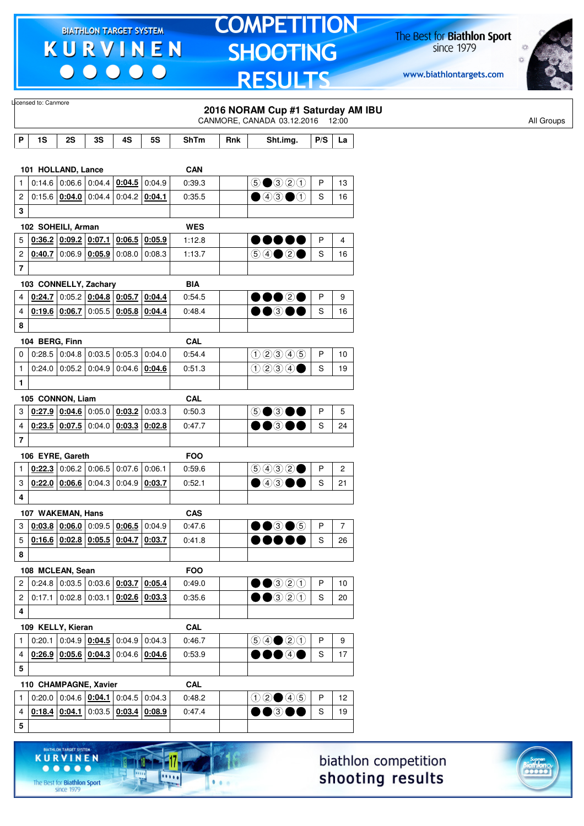$\begin{array}{c|c|c|c|c} \hline \bullet & \bullet & \bullet & \bullet & \bullet \end{array}$ 

# **TOMPETITION SHOOTING RESULTS**

The Best for **Biathlon Sport**<br>since 1979

www.biathlontargets.com



|                         | Licensed to: Canmore  |                          |                                                                                                                           |                 |                 |             |     | 2016 NORAM Cup #1 Saturday AM IBU<br>CANMORE, CANADA 03.12.2016 12:00                                                                                                                                                                                                                                                                               |              |                |
|-------------------------|-----------------------|--------------------------|---------------------------------------------------------------------------------------------------------------------------|-----------------|-----------------|-------------|-----|-----------------------------------------------------------------------------------------------------------------------------------------------------------------------------------------------------------------------------------------------------------------------------------------------------------------------------------------------------|--------------|----------------|
| P                       | 1S                    | 2S                       | 3S                                                                                                                        | 4S              | <b>5S</b>       | <b>ShTm</b> | Rnk | Sht.img.                                                                                                                                                                                                                                                                                                                                            | P/S          | La             |
|                         |                       |                          |                                                                                                                           |                 |                 |             |     |                                                                                                                                                                                                                                                                                                                                                     |              |                |
|                         | 101 HOLLAND, Lance    |                          |                                                                                                                           |                 |                 | <b>CAN</b>  |     |                                                                                                                                                                                                                                                                                                                                                     |              |                |
| $\mathbf{1}$            |                       |                          | $0:14.6$ 0:06.6 0:04.4                                                                                                    | $0.04.5$ 0:04.9 |                 | 0:39.3      |     | $5 \bullet 320$                                                                                                                                                                                                                                                                                                                                     | $\mathsf{P}$ | 13             |
| 2                       |                       |                          | $0:15.6$   0:04.0   0:04.4                                                                                                | 0.04.2   0.04.1 |                 | 0:35.5      |     | $\bigcirc$ 4300                                                                                                                                                                                                                                                                                                                                     | S            | 16             |
| 3                       |                       |                          |                                                                                                                           |                 |                 |             |     |                                                                                                                                                                                                                                                                                                                                                     |              |                |
|                         | 102 SOHEILI, Arman    |                          |                                                                                                                           |                 |                 | <b>WES</b>  |     |                                                                                                                                                                                                                                                                                                                                                     |              |                |
| 5                       |                       | 0.36.2   0.09.2   0.07.1 |                                                                                                                           |                 | $0:06.5$ 0:05.9 | 1:12.8      |     |                                                                                                                                                                                                                                                                                                                                                     | P            | 4              |
| 2                       | 0:40.7                |                          | 0.06.9   0.05.9                                                                                                           |                 | $0:08.0$ 0:08.3 | 1:13.7      |     |                                                                                                                                                                                                                                                                                                                                                     | S            | 16             |
| $\overline{\mathbf{r}}$ |                       |                          |                                                                                                                           |                 |                 |             |     |                                                                                                                                                                                                                                                                                                                                                     |              |                |
|                         | 103 CONNELLY, Zachary |                          |                                                                                                                           |                 |                 | <b>BIA</b>  |     |                                                                                                                                                                                                                                                                                                                                                     |              |                |
| 4                       |                       |                          | $0.24.7$ 0:05.2 0:04.8 0:05.7 0:04.4                                                                                      |                 |                 | 0:54.5      |     | $\bullet\bullet\circ\circ\bullet$                                                                                                                                                                                                                                                                                                                   | P            | 9              |
| 4                       |                       |                          | $0.19.6$ $0.06.7$ 0:05.5 $0.05.8$ 0:04.4                                                                                  |                 |                 | 0:48.4      |     | $\bullet\bullet$ 300                                                                                                                                                                                                                                                                                                                                | S            | 16             |
| 8                       |                       |                          |                                                                                                                           |                 |                 |             |     |                                                                                                                                                                                                                                                                                                                                                     |              |                |
|                         | 104 BERG, Finn        |                          |                                                                                                                           |                 |                 | <b>CAL</b>  |     |                                                                                                                                                                                                                                                                                                                                                     |              |                |
| 0                       | 0:28.5                |                          | $0.04.8$ 0.03.5 0.05.3 0.04.0                                                                                             |                 |                 | 0:54.4      |     | 02345                                                                                                                                                                                                                                                                                                                                               | $\mathsf{P}$ | 10             |
| $\mathbf{1}$            | 0:24.0                |                          | $\vert 0.05.2 \vert 0.04.9 \vert 0.04.6 \vert 0.04.6$                                                                     |                 |                 | 0:51.3      |     | 0234                                                                                                                                                                                                                                                                                                                                                | S            | 19             |
| 1                       |                       |                          |                                                                                                                           |                 |                 |             |     |                                                                                                                                                                                                                                                                                                                                                     |              |                |
|                         | 105 CONNON, Liam      |                          |                                                                                                                           |                 |                 | <b>CAL</b>  |     |                                                                                                                                                                                                                                                                                                                                                     |              |                |
| 3                       |                       |                          | $0.27.9$ $0.04.6$ $0.05.0$ $0.03.2$ $0.03.3$                                                                              |                 |                 | 0:50.3      |     | 50300                                                                                                                                                                                                                                                                                                                                               | P            | 5              |
| 4                       |                       |                          | $0:23.5$ 0:07.5 0:04.0                                                                                                    |                 | $0.03.3$ 0.02.8 | 0:47.7      |     | $\bullet\bullet$ 300                                                                                                                                                                                                                                                                                                                                | S            | 24             |
| $\overline{\mathbf{7}}$ |                       |                          |                                                                                                                           |                 |                 |             |     |                                                                                                                                                                                                                                                                                                                                                     |              |                |
|                         | 106 EYRE, Gareth      |                          |                                                                                                                           |                 |                 | <b>FOO</b>  |     |                                                                                                                                                                                                                                                                                                                                                     |              |                |
| 1                       |                       |                          | $0.22.3$ 0:06.2 0:06.5 0:07.6 0:06.1                                                                                      |                 |                 | 0:59.6      |     | $\bigcirc \bigcirc \bigcirc \bigcirc \bigcirc \bigcirc \bullet$                                                                                                                                                                                                                                                                                     | P            | $\overline{c}$ |
| 3                       |                       |                          | $0.22.0$ 0.06.6 0.04.3                                                                                                    | $0.04.9$ 0:03.7 |                 | 0:52.1      |     | $\bullet$ 4300                                                                                                                                                                                                                                                                                                                                      | S            | 21             |
| 4                       |                       |                          |                                                                                                                           |                 |                 |             |     |                                                                                                                                                                                                                                                                                                                                                     |              |                |
|                         | 107 WAKEMAN, Hans     |                          |                                                                                                                           |                 |                 | <b>CAS</b>  |     |                                                                                                                                                                                                                                                                                                                                                     |              |                |
| 3                       |                       |                          | $0.03.8$ $0.06.0$ 0:09.5 $0.06.5$ 0:04.9                                                                                  |                 |                 | 0:47.6      |     | $\bullet\bullet$ 3 $\bullet$ 5                                                                                                                                                                                                                                                                                                                      | P            | $\overline{7}$ |
| 5                       |                       |                          | $0.16.6$ $0.02.8$ $0.05.5$ $0.04.7$ $0.03.7$                                                                              |                 |                 | 0:41.8      |     | $\bullet\bullet\bullet\bullet\bullet$                                                                                                                                                                                                                                                                                                               | S            | 26             |
| 8                       |                       |                          |                                                                                                                           |                 |                 |             |     |                                                                                                                                                                                                                                                                                                                                                     |              |                |
|                         | 108 MCLEAN, Sean      |                          |                                                                                                                           |                 |                 | <b>FOO</b>  |     |                                                                                                                                                                                                                                                                                                                                                     |              |                |
| 2                       |                       |                          | $0.24.8$   $0.03.5$   $0.03.6$   $0.03.7$   0.05.4                                                                        |                 |                 | 0:49.0      |     | $\bullet\bullet$ 320                                                                                                                                                                                                                                                                                                                                | $\mathsf{P}$ | 10             |
| 2                       |                       | $0:17.1$ 0:02.8 0:03.1   |                                                                                                                           | $0.02.6$ 0.03.3 |                 | 0:35.6      |     | $\begin{picture}(150,20) \put(0,0){\line(1,0){10}} \put(15,0){\line(1,0){10}} \put(15,0){\line(1,0){10}} \put(15,0){\line(1,0){10}} \put(15,0){\line(1,0){10}} \put(15,0){\line(1,0){10}} \put(15,0){\line(1,0){10}} \put(15,0){\line(1,0){10}} \put(15,0){\line(1,0){10}} \put(15,0){\line(1,0){10}} \put(15,0){\line(1,0){10}} \put(15,0){\line($ | S            | 20             |
| 4                       |                       |                          |                                                                                                                           |                 |                 |             |     |                                                                                                                                                                                                                                                                                                                                                     |              |                |
|                         | 109 KELLY, Kieran     |                          |                                                                                                                           |                 |                 | CAL         |     |                                                                                                                                                                                                                                                                                                                                                     |              |                |
| 1                       |                       |                          | $0.20.1 \mid 0.04.9 \mid 0.04.5 \mid 0.04.9 \mid 0.04.3$                                                                  |                 |                 | 0:46.7      |     | $\bigcirc \bigcirc \bigcirc \bigcirc \bigcirc \bigcirc \bigcirc$                                                                                                                                                                                                                                                                                    | $\mathsf{P}$ | 9              |
| 4                       |                       |                          | $\vert$ <u>0:26.9 <math>\vert</math> 0:05.6 <math>\vert</math> 0:04.3 <math>\vert</math></u> 0:04.6 $\vert$ <u>0:04.6</u> |                 |                 | 0:53.9      |     | $\bullet\bullet\bullet\circ\bullet$                                                                                                                                                                                                                                                                                                                 | S            | 17             |
| 5                       |                       |                          |                                                                                                                           |                 |                 |             |     |                                                                                                                                                                                                                                                                                                                                                     |              |                |
|                         | 110 CHAMPAGNE, Xavier |                          |                                                                                                                           |                 |                 | <b>CAL</b>  |     |                                                                                                                                                                                                                                                                                                                                                     |              |                |
| 1                       |                       |                          | $0:20.0$ 0:04.6 $0:04.1$ 0:04.5 0:04.3                                                                                    |                 |                 | 0:48.2      |     | $02 \bullet 45$                                                                                                                                                                                                                                                                                                                                     | $\mathsf{P}$ | 12             |
| 4                       |                       |                          | $0.18.4$ $0.04.1$ $0.03.5$ $0.03.4$ $0.08.9$                                                                              |                 |                 | 0:47.4      |     | $\bullet\bullet$ 300                                                                                                                                                                                                                                                                                                                                | S            | 19             |
| 5                       |                       |                          |                                                                                                                           |                 |                 |             |     |                                                                                                                                                                                                                                                                                                                                                     |              |                |
|                         |                       |                          |                                                                                                                           |                 |                 |             |     |                                                                                                                                                                                                                                                                                                                                                     |              |                |





The Best for **Biathlon Sport**<br>since 1979

**KURVINEN** 

 $. . . . .$ 

-17

**DOM:**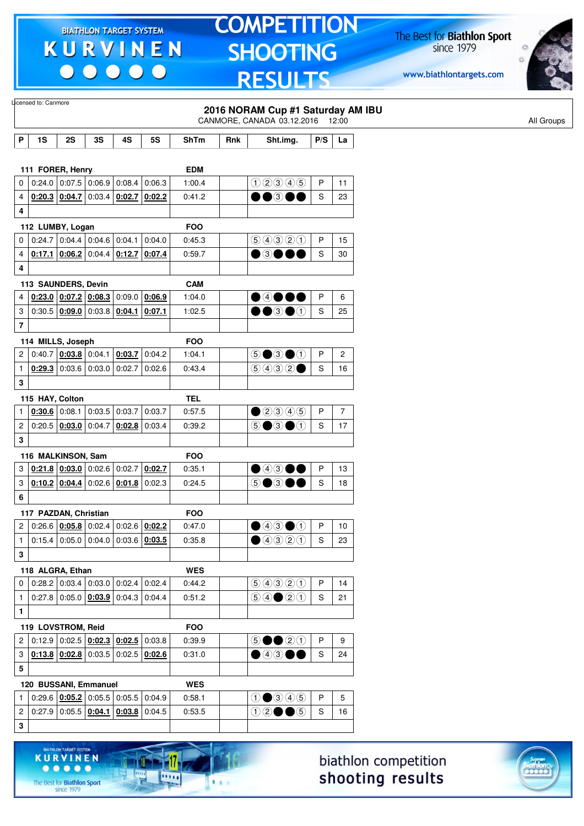$\begin{array}{c} \bullet\bullet\bullet\bullet\bullet\bullet \end{array}$ 

### **TOMPETITION** SHOOTING **RESULTS**

The Best for **Biathlon Sport**<br>since 1979

www.biathlontargets.com



|                | Licensed to: Canmore  |                        |                                                                    |                 |           |            |     | 2016 NORAM Cup #1 Saturday AM IBU                                |               |                 |
|----------------|-----------------------|------------------------|--------------------------------------------------------------------|-----------------|-----------|------------|-----|------------------------------------------------------------------|---------------|-----------------|
|                |                       |                        |                                                                    |                 |           |            |     | CANMORE, CANADA 03.12.2016 12:00                                 |               |                 |
| P              | 1S                    | 2S                     | 3S                                                                 | 4S              | <b>5S</b> | ShTm       | Rnk | Sht.img.                                                         | P/S           | La              |
|                |                       |                        |                                                                    |                 |           |            |     |                                                                  |               |                 |
|                | 111 FORER, Henry      |                        |                                                                    |                 |           | <b>EDM</b> |     |                                                                  |               |                 |
| 0              |                       |                        | $0.24.0$ 0.07.5 0.06.9 0.08.4                                      |                 | 0:06.3    | 1:00.4     |     | 02345                                                            | P             | 11              |
| 4              |                       |                        | 0.20.3   0.04.7   0.03.4   0.02.7                                  |                 | 0:02.2    | 0:41.2     |     | $\bullet$ $\bullet$ $\circ$                                      | S             | 23              |
| 4              |                       |                        |                                                                    |                 |           |            |     |                                                                  |               |                 |
|                | 112 LUMBY, Logan      |                        |                                                                    |                 |           | <b>FOO</b> |     |                                                                  |               |                 |
| 0              |                       |                        | $0.24.7$ 0.04.4 0.04.6 0.04.1                                      |                 | 0:04.0    | 0:45.3     |     | 9990                                                             | P             | 15              |
| 4              |                       |                        | $0.17.1$ 0.06.2 0.04.4 0.12.7                                      |                 | 0:07.4    | 0:59.7     |     | $\bullet$ 3000                                                   | S             | 30              |
| 4              |                       |                        |                                                                    |                 |           |            |     |                                                                  |               |                 |
|                | 113 SAUNDERS, Devin   |                        |                                                                    |                 |           | <b>CAM</b> |     |                                                                  |               |                 |
| 4              |                       |                        | $0.23.0$ $0.07.2$ $0.08.3$                                         | 0:09.0          | 0:06.9    | 1:04.0     |     | $\bullet$ 4000                                                   | P             | 6               |
| 3              |                       |                        | 0.30.5   0.09.0   0.03.8   0.04.1                                  |                 | 0:07.1    | 1:02.5     |     | $\bullet\bullet$ 3 $\bullet\circ$                                | ${\mathsf S}$ | 25              |
| 7              |                       |                        |                                                                    |                 |           |            |     |                                                                  |               |                 |
|                | 114 MILLS, Joseph     |                        |                                                                    |                 |           | <b>FOO</b> |     |                                                                  |               |                 |
| 2              |                       | $0.40.7$ 0:03.8 0:04.1 |                                                                    | 0:03.7          | 0:04.2    | 1:04.1     |     | $\circledcirc \bullet \circledcirc \bullet \circledcirc$         | P             | $\overline{c}$  |
| $\mathbf{1}$   |                       |                        | $0.29.3$ 0:03.6 0:03.0                                             | 0:02.7          | 0:02.6    | 0:43.4     |     | (50000)                                                          | S             | 16              |
| 3              |                       |                        |                                                                    |                 |           |            |     |                                                                  |               |                 |
|                | 115 HAY, Colton       |                        |                                                                    |                 |           | <b>TEL</b> |     |                                                                  |               |                 |
| 1              |                       |                        | $0.30.6$ 0:08.1 0:03.5 0:03.7                                      |                 | 0:03.7    | 0:57.5     |     | ②③④④⑤                                                            | P             | $\overline{7}$  |
| 2              |                       | 0:20.5   0:03.0        | 0:04.7                                                             | 0:02.8          | 0:03.4    | 0:39.2     |     | $\circledcirc$ $\bullet$ $\circledcirc$                          | S             | 17              |
| 3              |                       |                        |                                                                    |                 |           |            |     |                                                                  |               |                 |
|                | 116 MALKINSON, Sam    |                        |                                                                    |                 |           | <b>FOO</b> |     |                                                                  |               |                 |
| 3              |                       | $0.21.8$ 0.03.0        | 0:02.6                                                             | 0:02.7          | 0:02.7    | 0:35.1     |     | $\bullet$ 4300                                                   | P             | 13              |
| 3              |                       | $0:10.2$ 0:04.4        |                                                                    | $0:02.6$ 0:01.8 | 0:02.3    | 0:24.5     |     | 5●3●●                                                            | S             | 18              |
| 6              |                       |                        |                                                                    |                 |           |            |     |                                                                  |               |                 |
|                |                       |                        |                                                                    |                 |           | <b>FOO</b> |     |                                                                  |               |                 |
| 2              | 117 PAZDAN, Christian |                        | $0.26.6$ $0.05.8$ 0.02.4 0.02.6 0.02.2                             |                 |           | 0:47.0     |     | $\bigcirc$ 4300                                                  | P             | 10              |
| $\mathbf{1}$   |                       |                        | $0:15.4$ 0:05.0 0:04.0 0:03.6 0:03.5                               |                 |           | 0:35.8     |     | ④④③③                                                             | S             | 23              |
| 3              |                       |                        |                                                                    |                 |           |            |     |                                                                  |               |                 |
|                |                       |                        |                                                                    |                 |           |            |     |                                                                  |               |                 |
|                | 118 ALGRA, Ethan      |                        |                                                                    |                 |           | <b>WES</b> |     |                                                                  | P             |                 |
| 0              |                       |                        | $0.28.2$ 0.03.4 0.03.0 0.02.4                                      |                 | 0:02.4    | 0:44.2     |     | 9990                                                             |               | 14              |
| $\mathbf{1}$   |                       |                        | $0.27.8$ 0.05.0 $0.03.9$ 0.04.3 0.04.4                             |                 |           | 0:51.2     |     | $\bigcirc \bigcirc \bigcirc \bigcirc \bigcirc \bigcirc \bigcirc$ | $\mathsf S$   | 21              |
| 1              |                       |                        |                                                                    |                 |           |            |     |                                                                  |               |                 |
|                | 119 LOVSTROM, Reid    |                        |                                                                    |                 |           | <b>FOO</b> |     |                                                                  |               |                 |
| 2              |                       |                        | 0.12.9   0.02.5   0.02.3   0.02.5                                  |                 | 0:03.8    | 0:39.9     |     | $\circledcirc \bullet \bullet \circledcirc \circledcirc$         | P             | 9               |
| 3              |                       |                        | $\vert 0.13.8 \vert 0.02.8 \vert 0.03.5 \vert 0.02.5 \vert 0.02.6$ |                 |           | 0:31.0     |     | $\textcolor{red}{\bullet}$ 43 00                                 | S             | 24              |
| 5              |                       |                        |                                                                    |                 |           |            |     |                                                                  |               |                 |
|                | 120 BUSSANI, Emmanuel |                        |                                                                    |                 |           | <b>WES</b> |     |                                                                  |               |                 |
| $\mathbf{1}$   |                       |                        | $0:29.6$ $0.05.2$ 0:05.5 0:05.5 0:04.9                             |                 |           | 0:58.1     |     | $0$ $0$ $0$ $0$ $0$                                              | P             | $5\phantom{.0}$ |
| $\overline{2}$ |                       |                        | $0.27.9$ 0.05.5 $0.04.1$ 0.03.8 0.04.5                             |                 |           | 0:53.5     |     | $02 \bullet 5$                                                   | S             | 16              |
| $\bf{3}$       |                       |                        |                                                                    |                 |           |            |     |                                                                  |               |                 |
|                |                       |                        |                                                                    |                 |           |            |     |                                                                  |               |                 |

biathlon competition shooting results



The Best for **Biathlon Sport**<br>since 1979

**KURVINEN** 

117.

 $\overline{\cdots}$